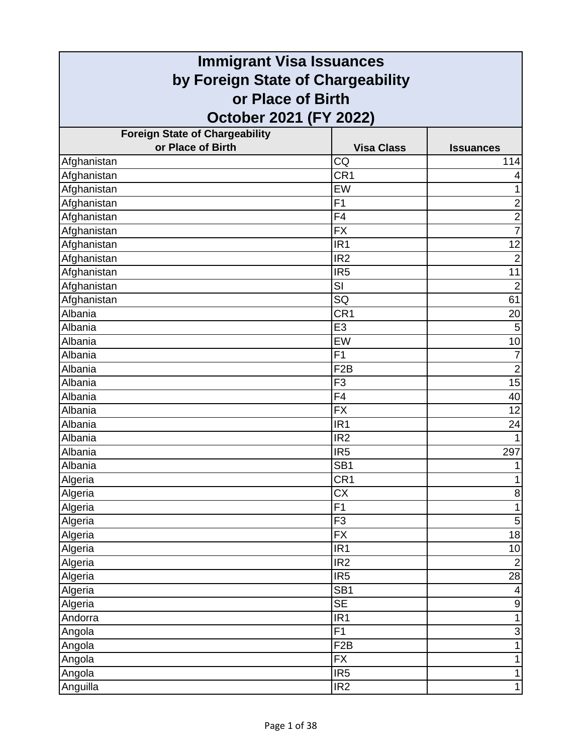| <b>Immigrant Visa Issuances</b>       |                   |                           |
|---------------------------------------|-------------------|---------------------------|
| by Foreign State of Chargeability     |                   |                           |
| or Place of Birth                     |                   |                           |
| October 2021 (FY 2022)                |                   |                           |
| <b>Foreign State of Chargeability</b> |                   |                           |
| or Place of Birth                     | <b>Visa Class</b> | <b>Issuances</b>          |
| Afghanistan                           | CQ                | 114                       |
| Afghanistan                           | CR <sub>1</sub>   |                           |
| Afghanistan                           | EW                | 1                         |
| Afghanistan                           | F <sub>1</sub>    | $\overline{2}$            |
| Afghanistan                           | F <sub>4</sub>    | $\overline{\mathbf{c}}$   |
| Afghanistan                           | <b>FX</b>         | $\overline{7}$            |
| Afghanistan                           | IR <sub>1</sub>   | 12                        |
| Afghanistan                           | IR <sub>2</sub>   | $\overline{2}$            |
| Afghanistan                           | IR <sub>5</sub>   | 11                        |
| Afghanistan                           | SI                | $\overline{2}$            |
| Afghanistan                           | SQ                | 61                        |
| Albania                               | CR <sub>1</sub>   | 20                        |
| Albania                               | E <sub>3</sub>    | 5                         |
| Albania                               | EW                | 10                        |
| Albania                               | F <sub>1</sub>    | 7                         |
| Albania                               | F <sub>2</sub> B  | $\overline{2}$            |
| Albania                               | F <sub>3</sub>    | 15                        |
| Albania                               | F4                | 40                        |
| Albania                               | <b>FX</b>         | 12                        |
| Albania                               | IR <sub>1</sub>   | 24                        |
| Albania                               | IR <sub>2</sub>   |                           |
| Albania                               | IR <sub>5</sub>   | 297                       |
| Albania                               | SB <sub>1</sub>   | 1                         |
| Algeria                               | CR <sub>1</sub>   |                           |
| Algeria                               | $\overline{CX}$   | $\bf 8$                   |
| Algeria                               | F1                | $\mathbf{1}$              |
| Algeria                               | F <sub>3</sub>    | $\mathbf 5$               |
| Algeria                               | $\overline{FX}$   | $\overline{18}$           |
| Algeria                               | IR <sub>1</sub>   | 10                        |
| Algeria                               | IR <sub>2</sub>   | $\overline{2}$            |
| Algeria                               | IR <sub>5</sub>   | 28                        |
| Algeria                               | SB <sub>1</sub>   | 4                         |
| Algeria                               | <b>SE</b>         | $\boldsymbol{9}$          |
| Andorra                               | IR <sub>1</sub>   | 1                         |
| Angola                                | $\overline{F1}$   | $\ensuremath{\mathsf{3}}$ |
| Angola                                | F <sub>2</sub> B  | 1                         |
| Angola                                | <b>FX</b>         | 1                         |
| Angola                                | IR <sub>5</sub>   | 1                         |
| Anguilla                              | IR <sub>2</sub>   | $\mathbf{1}$              |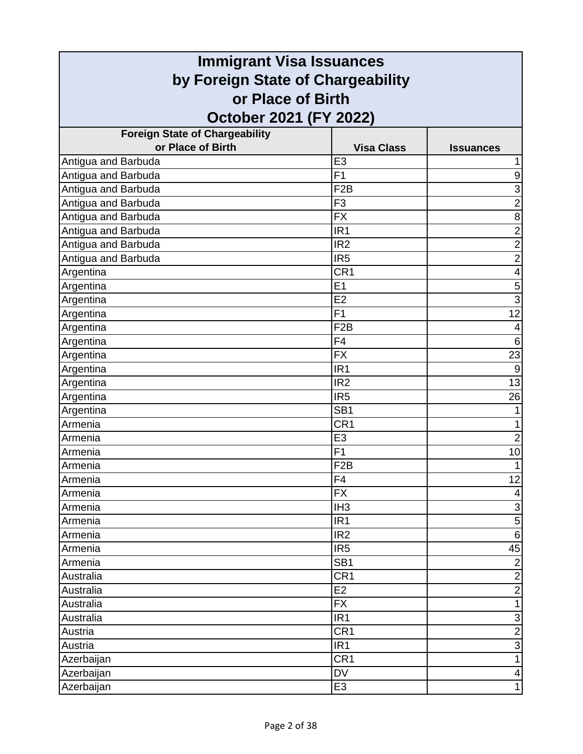| <b>Immigrant Visa Issuances</b>       |                   |                  |
|---------------------------------------|-------------------|------------------|
| by Foreign State of Chargeability     |                   |                  |
| or Place of Birth                     |                   |                  |
| October 2021 (FY 2022)                |                   |                  |
| <b>Foreign State of Chargeability</b> |                   |                  |
| or Place of Birth                     | <b>Visa Class</b> | <b>Issuances</b> |
| Antigua and Barbuda                   | E <sub>3</sub>    |                  |
| Antigua and Barbuda                   | F <sub>1</sub>    | $\boldsymbol{9}$ |
| Antigua and Barbuda                   | F <sub>2</sub> B  | $\overline{3}$   |
| Antigua and Barbuda                   | F <sub>3</sub>    | $\overline{2}$   |
| Antigua and Barbuda                   | <b>FX</b>         | 8                |
| Antigua and Barbuda                   | IR <sub>1</sub>   | $\overline{2}$   |
| Antigua and Barbuda                   | IR <sub>2</sub>   | $\overline{2}$   |
| Antigua and Barbuda                   | IR <sub>5</sub>   | $\overline{c}$   |
| Argentina                             | CR <sub>1</sub>   | 4                |
| Argentina                             | E1                | 5                |
| Argentina                             | E2                | $\overline{3}$   |
| Argentina                             | F1                | 12               |
| Argentina                             | F <sub>2</sub> B  | 4                |
| Argentina                             | F <sub>4</sub>    | $\,6$            |
| Argentina                             | <b>FX</b>         | 23               |
| Argentina                             | IR <sub>1</sub>   | 9                |
| Argentina                             | IR <sub>2</sub>   | $\overline{13}$  |
| Argentina                             | IR <sub>5</sub>   | 26               |
| Argentina                             | SB <sub>1</sub>   |                  |
| Armenia                               | CR <sub>1</sub>   | 1                |
| Armenia                               | E <sub>3</sub>    | $\overline{2}$   |
| Armenia                               | F1                | 10               |
| Armenia                               | F <sub>2</sub> B  | 1                |
| Armenia                               | F4                | 12               |
| Armenia                               | <b>FX</b>         | 4                |
| Armenia                               | IH <sub>3</sub>   | $\overline{3}$   |
| Armenia                               | IR <sub>1</sub>   | 5                |
| Armenia                               | IR <sub>2</sub>   | $\overline{6}$   |
| Armenia                               | IR <sub>5</sub>   | 45               |
| Armenia                               | SB <sub>1</sub>   | $\mathbf 2$      |
| Australia                             | CR <sub>1</sub>   | $\overline{2}$   |
| Australia                             | E <sub>2</sub>    | $\overline{2}$   |
| Australia                             | <b>FX</b>         | $\mathbf{1}$     |
| Australia                             | IR <sub>1</sub>   | $\overline{3}$   |
| Austria                               | CR <sub>1</sub>   | $\overline{2}$   |
| Austria                               | IR <sub>1</sub>   | $\overline{3}$   |
| Azerbaijan                            | CR <sub>1</sub>   | $\mathbf{1}$     |
| Azerbaijan                            | DV                | 4                |
| Azerbaijan                            | E <sub>3</sub>    | $\mathbf 1$      |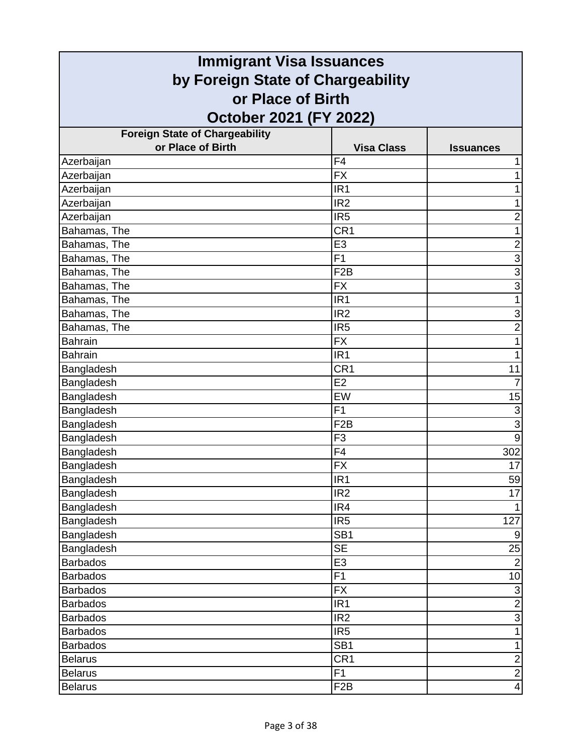| <b>Immigrant Visa Issuances</b>                        |                   |                           |
|--------------------------------------------------------|-------------------|---------------------------|
| by Foreign State of Chargeability<br>or Place of Birth |                   |                           |
|                                                        |                   |                           |
| <b>Foreign State of Chargeability</b>                  |                   |                           |
| or Place of Birth                                      | <b>Visa Class</b> | <b>Issuances</b>          |
| Azerbaijan                                             | F <sub>4</sub>    |                           |
| Azerbaijan                                             | <b>FX</b>         | 1                         |
| Azerbaijan                                             | IR <sub>1</sub>   | 1                         |
| Azerbaijan                                             | IR <sub>2</sub>   | 1                         |
| Azerbaijan                                             | IR <sub>5</sub>   | $\overline{\mathbf{c}}$   |
| Bahamas, The                                           | CR <sub>1</sub>   | 1                         |
| Bahamas, The                                           | E <sub>3</sub>    | $\overline{\mathbf{c}}$   |
| Bahamas, The                                           | F <sub>1</sub>    | $\overline{3}$            |
| Bahamas, The                                           | F <sub>2</sub> B  | 3                         |
| Bahamas, The                                           | <b>FX</b>         | $\overline{3}$            |
| Bahamas, The                                           | IR <sub>1</sub>   | 1                         |
| Bahamas, The                                           | IR <sub>2</sub>   | 3                         |
| Bahamas, The                                           | IR <sub>5</sub>   | $\overline{2}$            |
| <b>Bahrain</b>                                         | <b>FX</b>         | 1                         |
| <b>Bahrain</b>                                         | IR <sub>1</sub>   |                           |
| Bangladesh                                             | CR <sub>1</sub>   | 11                        |
| Bangladesh                                             | E2                |                           |
| Bangladesh                                             | EW                | 15                        |
| Bangladesh                                             | F1                | $\overline{3}$            |
| Bangladesh                                             | F <sub>2</sub> B  | $\overline{3}$            |
| Bangladesh                                             | F <sub>3</sub>    | $\overline{9}$            |
| Bangladesh                                             | F4                | 302                       |
| Bangladesh                                             | <b>FX</b>         | 17                        |
| Bangladesh                                             | IR1               | 59                        |
| Bangladesh                                             | IR <sub>2</sub>   | 17                        |
| Bangladesh                                             | IR4               |                           |
| Bangladesh                                             | IR <sub>5</sub>   | 127                       |
| Bangladesh                                             | SB <sub>1</sub>   | 9                         |
| Bangladesh                                             | <b>SE</b>         | 25                        |
| <b>Barbados</b>                                        | E <sub>3</sub>    | $\overline{2}$            |
| <b>Barbados</b>                                        | F1                | 10                        |
| <b>Barbados</b>                                        | <b>FX</b>         | $\ensuremath{\mathsf{3}}$ |
| <b>Barbados</b>                                        | IR <sub>1</sub>   | $\overline{2}$            |
| <b>Barbados</b>                                        | IR <sub>2</sub>   | $\overline{3}$            |
| <b>Barbados</b>                                        | IR <sub>5</sub>   | $\mathbf{1}$              |
| <b>Barbados</b>                                        | SB <sub>1</sub>   | $\mathbf{1}$              |
| <b>Belarus</b>                                         | CR <sub>1</sub>   | $\overline{\mathbf{c}}$   |
| <b>Belarus</b>                                         | F1                | $\overline{2}$            |
| <b>Belarus</b>                                         | F <sub>2</sub> B  | $\overline{\mathbf{4}}$   |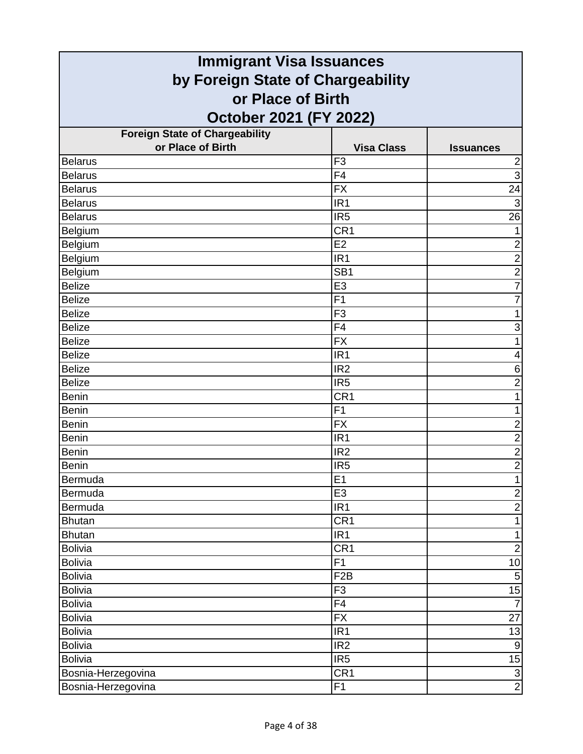| <b>Immigrant Visa Issuances</b>       |                   |                         |  |
|---------------------------------------|-------------------|-------------------------|--|
| by Foreign State of Chargeability     |                   |                         |  |
|                                       | or Place of Birth |                         |  |
| October 2021 (FY 2022)                |                   |                         |  |
| <b>Foreign State of Chargeability</b> |                   |                         |  |
| or Place of Birth                     | <b>Visa Class</b> | <b>Issuances</b>        |  |
| <b>Belarus</b>                        | F <sub>3</sub>    | $\overline{\mathbf{c}}$ |  |
| <b>Belarus</b>                        | F <sub>4</sub>    | $\overline{3}$          |  |
| <b>Belarus</b>                        | <b>FX</b>         | 24                      |  |
| <b>Belarus</b>                        | IR <sub>1</sub>   | $\mathbf{3}$            |  |
| <b>Belarus</b>                        | IR <sub>5</sub>   | $\overline{26}$         |  |
| Belgium                               | CR <sub>1</sub>   | $\mathbf{1}$            |  |
| Belgium                               | E2                | $\overline{\mathbf{c}}$ |  |
| Belgium                               | IR <sub>1</sub>   | $\overline{2}$          |  |
| Belgium                               | SB <sub>1</sub>   | $\overline{\mathbf{c}}$ |  |
| <b>Belize</b>                         | E <sub>3</sub>    | $\overline{7}$          |  |
| <b>Belize</b>                         | F <sub>1</sub>    | $\overline{7}$          |  |
| <b>Belize</b>                         | F <sub>3</sub>    | 1                       |  |
| <b>Belize</b>                         | F4                | $\overline{3}$          |  |
| <b>Belize</b>                         | <b>FX</b>         | 1                       |  |
| <b>Belize</b>                         | IR <sub>1</sub>   | 4                       |  |
| <b>Belize</b>                         | IR <sub>2</sub>   | $\,6$                   |  |
| <b>Belize</b>                         | IR <sub>5</sub>   | $\overline{2}$          |  |
| <b>Benin</b>                          | CR <sub>1</sub>   | 1                       |  |
| <b>Benin</b>                          | F <sub>1</sub>    | 1                       |  |
| <b>Benin</b>                          | <b>FX</b>         | $\overline{\mathbf{c}}$ |  |
| <b>Benin</b>                          | IR <sub>1</sub>   | $\overline{2}$          |  |
| <b>Benin</b>                          | IR <sub>2</sub>   | $\overline{2}$          |  |
| <b>Benin</b>                          | IR <sub>5</sub>   | $\overline{2}$          |  |
| Bermuda                               | E1                | $\mathbf{1}$            |  |
| Bermuda                               | E <sub>3</sub>    | $\overline{2}$          |  |
| Bermuda                               | IR <sub>1</sub>   | $\overline{2}$          |  |
| <b>Bhutan</b>                         | CR <sub>1</sub>   | $\mathbf{1}$            |  |
| <b>Bhutan</b>                         | $\overline{IR1}$  | $\mathbf{1}$            |  |
| <b>Bolivia</b>                        | CR <sub>1</sub>   | $\overline{2}$          |  |
| <b>Bolivia</b>                        | F <sub>1</sub>    | 10                      |  |
| <b>Bolivia</b>                        | F <sub>2</sub> B  | $\sqrt{5}$              |  |
| <b>Bolivia</b>                        | F <sub>3</sub>    | 15                      |  |
| <b>Bolivia</b>                        | F4                | $\overline{7}$          |  |
| <b>Bolivia</b>                        | <b>FX</b>         | 27                      |  |
| <b>Bolivia</b>                        | $\overline{IR1}$  | 13                      |  |
| <b>Bolivia</b>                        | IR <sub>2</sub>   | $\boldsymbol{9}$        |  |
| <b>Bolivia</b>                        | IR <sub>5</sub>   |                         |  |
| Bosnia-Herzegovina                    | CR <sub>1</sub>   | $\frac{15}{2}$          |  |
| Bosnia-Herzegovina                    | F1                |                         |  |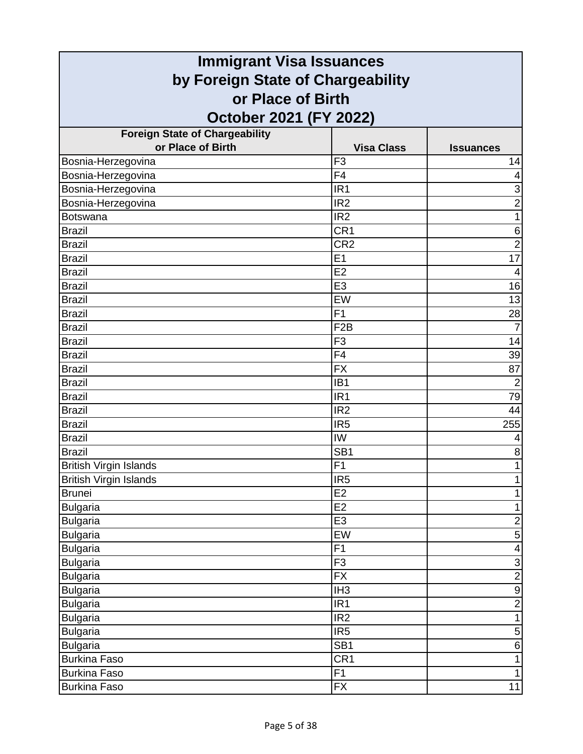| <b>Immigrant Visa Issuances</b>                        |                   |                         |
|--------------------------------------------------------|-------------------|-------------------------|
| by Foreign State of Chargeability<br>or Place of Birth |                   |                         |
|                                                        |                   |                         |
| <b>Foreign State of Chargeability</b>                  |                   |                         |
| or Place of Birth                                      | <b>Visa Class</b> | <b>Issuances</b>        |
| Bosnia-Herzegovina                                     | F <sub>3</sub>    | 14                      |
| Bosnia-Herzegovina                                     | F4                | 4                       |
| Bosnia-Herzegovina                                     | IR <sub>1</sub>   | 3                       |
| Bosnia-Herzegovina                                     | IR <sub>2</sub>   | $\overline{2}$          |
| <b>Botswana</b>                                        | IR <sub>2</sub>   | $\mathbf{1}$            |
| <b>Brazil</b>                                          | CR <sub>1</sub>   | 6                       |
| <b>Brazil</b>                                          | CR <sub>2</sub>   | $\overline{2}$          |
| <b>Brazil</b>                                          | E <sub>1</sub>    | 17                      |
| <b>Brazil</b>                                          | E2                | $\overline{4}$          |
| <b>Brazil</b>                                          | E <sub>3</sub>    | 16                      |
| <b>Brazil</b>                                          | EW                | 13                      |
| <b>Brazil</b>                                          | F1                | 28                      |
| <b>Brazil</b>                                          | F <sub>2</sub> B  | $\overline{7}$          |
| <b>Brazil</b>                                          | F <sub>3</sub>    | 14                      |
| <b>Brazil</b>                                          | F <sub>4</sub>    | 39                      |
| <b>Brazil</b>                                          | <b>FX</b>         | 87                      |
| <b>Brazil</b>                                          | IB <sub>1</sub>   | $\overline{2}$          |
| <b>Brazil</b>                                          | IR <sub>1</sub>   | 79                      |
| <b>Brazil</b>                                          | IR <sub>2</sub>   | 44                      |
| <b>Brazil</b>                                          | IR <sub>5</sub>   | 255                     |
| <b>Brazil</b>                                          | IW                | 4                       |
| <b>Brazil</b>                                          | SB <sub>1</sub>   | 8                       |
| <b>British Virgin Islands</b>                          | F1                | $\mathbf{1}$            |
| <b>British Virgin Islands</b>                          | IR5               |                         |
| <b>Brunei</b>                                          | E <sub>2</sub>    | $\mathbf{1}$            |
| <b>Bulgaria</b>                                        | E2                | $\mathbf 1$             |
| <b>Bulgaria</b>                                        | E <sub>3</sub>    | $\overline{c}$          |
| <b>Bulgaria</b>                                        | EW                | $\overline{5}$          |
| <b>Bulgaria</b>                                        | F1                | $\overline{\mathbf{4}}$ |
| <b>Bulgaria</b>                                        | F <sub>3</sub>    | $\mathsf 3$             |
| <b>Bulgaria</b>                                        | <b>FX</b>         | $\overline{2}$          |
| <b>Bulgaria</b>                                        | IH <sub>3</sub>   | $\overline{9}$          |
| <b>Bulgaria</b>                                        | IR <sub>1</sub>   | $\overline{2}$          |
| <b>Bulgaria</b>                                        | IR <sub>2</sub>   | $\mathbf{1}$            |
| <b>Bulgaria</b>                                        | IR <sub>5</sub>   | $\sqrt{5}$              |
| <b>Bulgaria</b>                                        | SB <sub>1</sub>   | $\,6$                   |
| <b>Burkina Faso</b>                                    | CR <sub>1</sub>   | $\mathbf{1}$            |
| <b>Burkina Faso</b>                                    | F <sub>1</sub>    | $\mathbf{1}$            |
| <b>Burkina Faso</b>                                    | <b>FX</b>         | 11                      |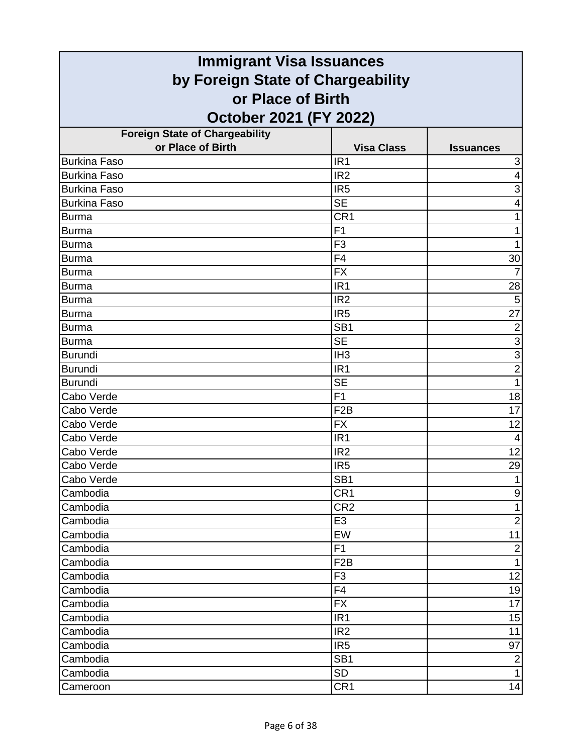| <b>Immigrant Visa Issuances</b>       |                   |                           |
|---------------------------------------|-------------------|---------------------------|
| by Foreign State of Chargeability     |                   |                           |
| or Place of Birth                     |                   |                           |
| October 2021 (FY 2022)                |                   |                           |
| <b>Foreign State of Chargeability</b> |                   |                           |
| or Place of Birth                     | <b>Visa Class</b> | <b>Issuances</b>          |
| <b>Burkina Faso</b>                   | IR <sub>1</sub>   | $\ensuremath{\mathsf{3}}$ |
| <b>Burkina Faso</b>                   | IR <sub>2</sub>   | $\overline{4}$            |
| <b>Burkina Faso</b>                   | IR <sub>5</sub>   | 3                         |
| <b>Burkina Faso</b>                   | <b>SE</b>         | 4                         |
| <b>Burma</b>                          | CR <sub>1</sub>   | 1                         |
| <b>Burma</b>                          | F <sub>1</sub>    | 1                         |
| <b>Burma</b>                          | F <sub>3</sub>    | 1                         |
| <b>Burma</b>                          | F4                | 30                        |
| <b>Burma</b>                          | <b>FX</b>         | $\overline{7}$            |
| <b>Burma</b>                          | IR <sub>1</sub>   | 28                        |
| <b>Burma</b>                          | IR <sub>2</sub>   | 5                         |
| <b>Burma</b>                          | IR <sub>5</sub>   | 27                        |
| <b>Burma</b>                          | SB <sub>1</sub>   | $\overline{2}$            |
| <b>Burma</b>                          | <b>SE</b>         | $\overline{3}$            |
| <b>Burundi</b>                        | IH <sub>3</sub>   | $\overline{3}$            |
| <b>Burundi</b>                        | IR <sub>1</sub>   | $\overline{2}$            |
| <b>Burundi</b>                        | <b>SE</b>         | 1                         |
| Cabo Verde                            | F <sub>1</sub>    | 18                        |
| Cabo Verde                            | F <sub>2</sub> B  | 17                        |
| Cabo Verde                            | <b>FX</b>         | 12                        |
| Cabo Verde                            | IR <sub>1</sub>   | 4                         |
| Cabo Verde                            | IR <sub>2</sub>   | 12                        |
| Cabo Verde                            | IR <sub>5</sub>   | 29                        |
| Cabo Verde                            | SB <sub>1</sub>   |                           |
| Cambodia                              | CR <sub>1</sub>   | $\boldsymbol{9}$          |
| Cambodia                              | CR <sub>2</sub>   | 1                         |
| Cambodia                              | E <sub>3</sub>    | $\overline{2}$            |
| Cambodia                              | EW                | 11                        |
| Cambodia                              | F1                | $\mathbf 2$               |
| Cambodia                              | F <sub>2</sub> B  | $\mathbf{1}$              |
| Cambodia                              | F <sub>3</sub>    | 12                        |
| Cambodia                              | F <sub>4</sub>    | 19                        |
| Cambodia                              | <b>FX</b>         | 17                        |
| Cambodia                              | IR <sub>1</sub>   | 15                        |
| Cambodia                              | IR <sub>2</sub>   | 11                        |
| Cambodia                              | IR <sub>5</sub>   | 97                        |
| Cambodia                              | SB <sub>1</sub>   | $\boldsymbol{2}$          |
| Cambodia                              | <b>SD</b>         | $\mathbf{1}$              |
| Cameroon                              | CR <sub>1</sub>   | 14                        |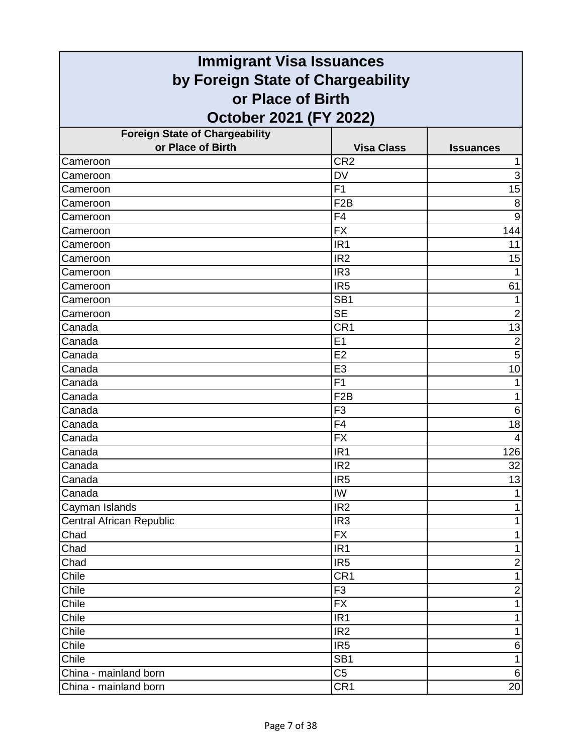| <b>Immigrant Visa Issuances</b>                            |                              |                  |
|------------------------------------------------------------|------------------------------|------------------|
| by Foreign State of Chargeability                          |                              |                  |
| or Place of Birth                                          |                              |                  |
| October 2021 (FY 2022)                                     |                              |                  |
|                                                            |                              |                  |
| <b>Foreign State of Chargeability</b><br>or Place of Birth | <b>Visa Class</b>            | <b>Issuances</b> |
| Cameroon                                                   | CR <sub>2</sub>              |                  |
| Cameroon                                                   | <b>DV</b>                    | 3                |
| Cameroon                                                   | F <sub>1</sub>               | $\overline{15}$  |
| Cameroon                                                   | F <sub>2</sub> B             | 8                |
| Cameroon                                                   | F <sub>4</sub>               | $\boldsymbol{9}$ |
| Cameroon                                                   | <b>FX</b>                    | 144              |
| Cameroon                                                   | IR <sub>1</sub>              | 11               |
| Cameroon                                                   | IR <sub>2</sub>              | 15               |
| Cameroon                                                   | IR <sub>3</sub>              |                  |
| Cameroon                                                   | IR <sub>5</sub>              | 61               |
| Cameroon                                                   | SB <sub>1</sub>              |                  |
| Cameroon                                                   | <b>SE</b>                    | $\overline{2}$   |
| Canada                                                     | CR <sub>1</sub>              | $\overline{13}$  |
| Canada                                                     | E1                           | $\overline{2}$   |
| Canada                                                     | E <sub>2</sub>               | 5                |
| Canada                                                     | E <sub>3</sub>               | 10               |
| Canada                                                     | F <sub>1</sub>               | 1                |
| Canada                                                     | F <sub>2</sub> B             | 1                |
| Canada                                                     | F <sub>3</sub>               | 6                |
| Canada                                                     | F <sub>4</sub>               | 18               |
| Canada                                                     | <b>FX</b>                    | $\overline{4}$   |
| Canada                                                     | IR <sub>1</sub>              | 126              |
| Canada                                                     | IR <sub>2</sub>              | 32               |
| Canada                                                     | IR <sub>5</sub>              | 13               |
| Canada                                                     | IW                           |                  |
| Cayman Islands                                             | IR <sub>2</sub>              | 1                |
| <b>Central African Republic</b>                            | IR <sub>3</sub>              | 1                |
| Chad                                                       | <b>FX</b>                    | 1                |
| Chad                                                       | IR <sub>1</sub>              | 1                |
| Chad                                                       | IR <sub>5</sub>              | $\overline{c}$   |
| Chile                                                      | CR <sub>1</sub>              | $\mathbf{1}$     |
| Chile                                                      | F <sub>3</sub>               | $\mathbf 2$      |
| Chile<br>Chile                                             | <b>FX</b><br>IR <sub>1</sub> | 1                |
| Chile                                                      | IR2                          | 1<br>1           |
| Chile                                                      | IR <sub>5</sub>              | 6                |
| Chile                                                      | SB <sub>1</sub>              | $\mathbf{1}$     |
| China - mainland born                                      | C <sub>5</sub>               | $\,6\,$          |
| China - mainland born                                      | CR <sub>1</sub>              | 20               |
|                                                            |                              |                  |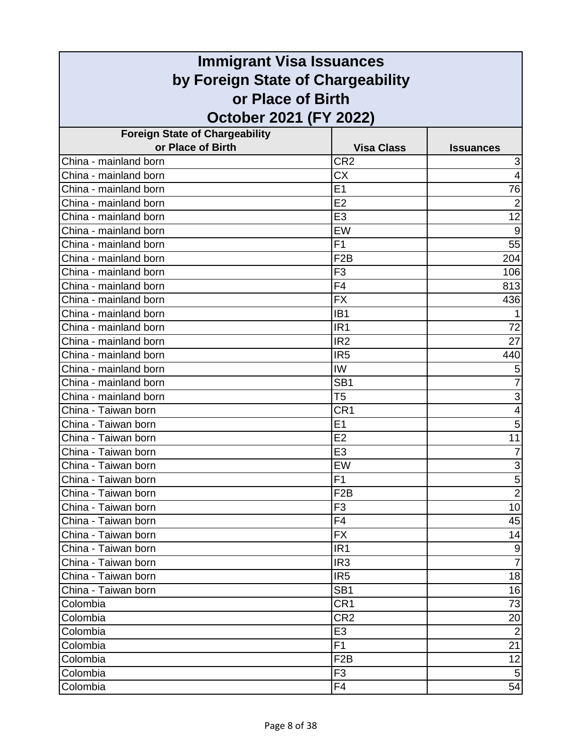| <b>Immigrant Visa Issuances</b>                            |                                    |                     |
|------------------------------------------------------------|------------------------------------|---------------------|
| by Foreign State of Chargeability                          |                                    |                     |
| or Place of Birth                                          |                                    |                     |
|                                                            |                                    |                     |
| October 2021 (FY 2022)                                     |                                    |                     |
| <b>Foreign State of Chargeability</b><br>or Place of Birth |                                    |                     |
| China - mainland born                                      | <b>Visa Class</b>                  | <b>Issuances</b>    |
| China - mainland born                                      | CR <sub>2</sub><br>$\overline{CX}$ | 3<br>$\overline{4}$ |
| China - mainland born                                      | E <sub>1</sub>                     | 76                  |
| China - mainland born                                      | E2                                 | $\overline{2}$      |
| China - mainland born                                      | E <sub>3</sub>                     | $\overline{12}$     |
| China - mainland born                                      | EW                                 | 9                   |
| China - mainland born                                      | F1                                 | 55                  |
| China - mainland born                                      | F <sub>2</sub> B                   | 204                 |
| China - mainland born                                      | F <sub>3</sub>                     | 106                 |
| China - mainland born                                      | F <sub>4</sub>                     | 813                 |
| China - mainland born                                      | <b>FX</b>                          | 436                 |
| China - mainland born                                      | IB <sub>1</sub>                    | 1                   |
| China - mainland born                                      | IR <sub>1</sub>                    | 72                  |
| China - mainland born                                      | IR <sub>2</sub>                    | 27                  |
| China - mainland born                                      | IR <sub>5</sub>                    | 440                 |
| China - mainland born                                      | IW                                 | 5                   |
| China - mainland born                                      | SB <sub>1</sub>                    | 7                   |
| China - mainland born                                      | T <sub>5</sub>                     | 3                   |
| China - Taiwan born                                        | CR <sub>1</sub>                    | 4                   |
| China - Taiwan born                                        | E1                                 | 5                   |
| China - Taiwan born                                        | E2                                 | 11                  |
| China - Taiwan born                                        | E <sub>3</sub>                     | 7                   |
| China - Taiwan born                                        | EW                                 | 3                   |
| China - Taiwan born                                        | F1                                 |                     |
| China - Taiwan born                                        | F <sub>2</sub> B                   | $\frac{5}{2}$       |
| China - Taiwan born                                        | F <sub>3</sub>                     | 10                  |
| China - Taiwan born                                        | F4                                 | 45                  |
| China - Taiwan born                                        | <b>FX</b>                          | 14                  |
| China - Taiwan born                                        | IR <sub>1</sub>                    | $\frac{9}{7}$       |
| China - Taiwan born                                        | IR <sub>3</sub>                    |                     |
| China - Taiwan born                                        | IR <sub>5</sub>                    | 18                  |
| China - Taiwan born                                        | SB <sub>1</sub>                    | 16                  |
| Colombia                                                   | CR <sub>1</sub>                    | 73                  |
| Colombia                                                   | CR <sub>2</sub>                    | 20                  |
| Colombia                                                   | E <sub>3</sub>                     | $\overline{2}$      |
| Colombia                                                   | F1                                 | 21                  |
| Colombia                                                   | F <sub>2</sub> B                   | 12                  |
| Colombia                                                   | F <sub>3</sub>                     | $\sqrt{5}$          |
| Colombia                                                   | F4                                 | 54                  |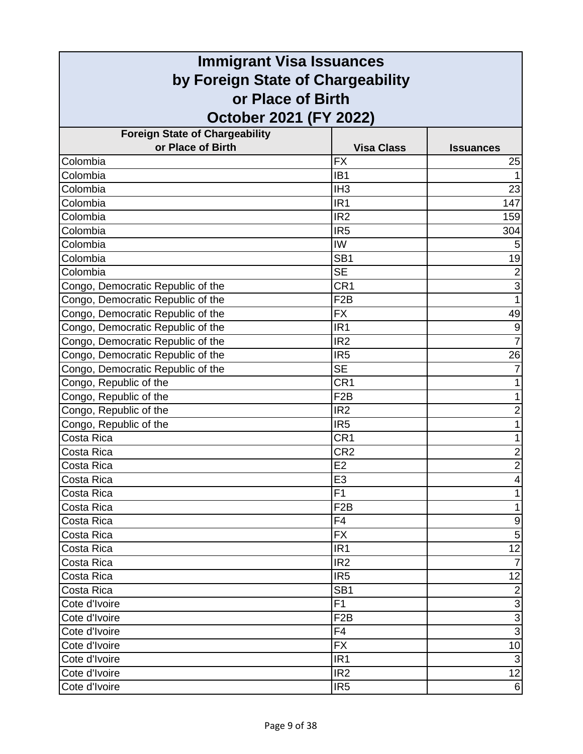| <b>Immigrant Visa Issuances</b>       |                   |                  |
|---------------------------------------|-------------------|------------------|
| by Foreign State of Chargeability     |                   |                  |
| or Place of Birth                     |                   |                  |
| October 2021 (FY 2022)                |                   |                  |
| <b>Foreign State of Chargeability</b> |                   |                  |
| or Place of Birth                     | <b>Visa Class</b> | <b>Issuances</b> |
| Colombia                              | <b>FX</b>         | 25               |
| Colombia                              | IB <sub>1</sub>   | $\mathbf{1}$     |
| Colombia                              | IH <sub>3</sub>   | 23               |
| Colombia                              | IR <sub>1</sub>   | 147              |
| Colombia                              | IR <sub>2</sub>   | 159              |
| Colombia                              | IR <sub>5</sub>   | 304              |
| Colombia                              | IW                | 5                |
| Colombia                              | SB <sub>1</sub>   | 19               |
| Colombia                              | <b>SE</b>         | $\overline{2}$   |
| Congo, Democratic Republic of the     | CR <sub>1</sub>   | $\overline{3}$   |
| Congo, Democratic Republic of the     | F <sub>2</sub> B  | $\mathbf{1}$     |
| Congo, Democratic Republic of the     | <b>FX</b>         | 49               |
| Congo, Democratic Republic of the     | IR <sub>1</sub>   | $\overline{9}$   |
| Congo, Democratic Republic of the     | IR <sub>2</sub>   | $\overline{7}$   |
| Congo, Democratic Republic of the     | IR <sub>5</sub>   | 26               |
| Congo, Democratic Republic of the     | <b>SE</b>         | $\overline{7}$   |
| Congo, Republic of the                | CR <sub>1</sub>   | 1                |
| Congo, Republic of the                | F <sub>2</sub> B  | 1                |
| Congo, Republic of the                | IR <sub>2</sub>   | $\overline{2}$   |
| Congo, Republic of the                | IR <sub>5</sub>   | 1                |
| Costa Rica                            | CR <sub>1</sub>   | $\mathbf{1}$     |
| Costa Rica                            | CR <sub>2</sub>   | $\overline{2}$   |
| Costa Rica                            | E <sub>2</sub>    | $\overline{2}$   |
| Costa Rica                            | E3                | 4                |
| Costa Rica                            | F <sub>1</sub>    | 1                |
| Costa Rica                            | F <sub>2</sub> B  | $\mathbf{1}$     |
| Costa Rica                            | F4                | $\mathsf 9$      |
| Costa Rica                            | <b>FX</b>         | 5                |
| Costa Rica                            | IR <sub>1</sub>   | $\overline{12}$  |
| Costa Rica                            | IR <sub>2</sub>   | $\overline{7}$   |
| Costa Rica                            | IR <sub>5</sub>   | 12               |
| Costa Rica                            | SB <sub>1</sub>   | $\overline{2}$   |
| Cote d'Ivoire                         | F1                | $\overline{3}$   |
| Cote d'Ivoire                         | F <sub>2</sub> B  | دە               |
| Cote d'Ivoire                         | F <sub>4</sub>    |                  |
| Cote d'Ivoire                         | <b>FX</b>         | 10               |
| Cote d'Ivoire                         | IR <sub>1</sub>   | $\mathbf{3}$     |
| Cote d'Ivoire                         | IR <sub>2</sub>   | 12               |
| Cote d'Ivoire                         | IR <sub>5</sub>   | $6 \mid$         |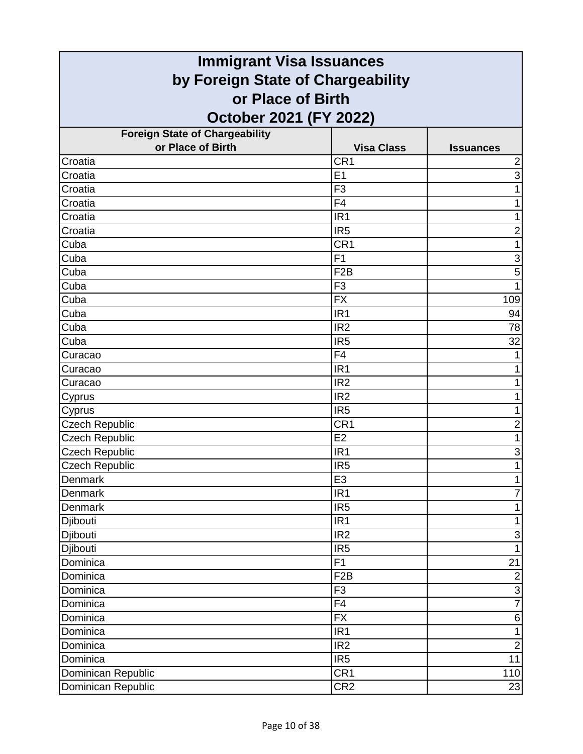| <b>Immigrant Visa Issuances</b>       |                   |                           |
|---------------------------------------|-------------------|---------------------------|
| by Foreign State of Chargeability     |                   |                           |
| or Place of Birth                     |                   |                           |
| October 2021 (FY 2022)                |                   |                           |
| <b>Foreign State of Chargeability</b> |                   |                           |
| or Place of Birth                     | <b>Visa Class</b> | <b>Issuances</b>          |
| Croatia                               | CR <sub>1</sub>   | $\overline{\mathbf{c}}$   |
| Croatia                               | E1                | $\overline{3}$            |
| Croatia                               | F <sub>3</sub>    | 1                         |
| Croatia                               | F4                | 1                         |
| Croatia                               | IR <sub>1</sub>   | 1                         |
| Croatia                               | IR <sub>5</sub>   | $\overline{2}$            |
| Cuba                                  | CR <sub>1</sub>   | 1                         |
| Cuba                                  | F <sub>1</sub>    | 3                         |
| Cuba                                  | F <sub>2</sub> B  | 5                         |
| Cuba                                  | F <sub>3</sub>    | 1                         |
| Cuba                                  | <b>FX</b>         | 109                       |
| Cuba                                  | IR <sub>1</sub>   | 94                        |
| Cuba                                  | IR <sub>2</sub>   | 78                        |
| Cuba                                  | IR <sub>5</sub>   | $\overline{32}$           |
| Curacao                               | F <sub>4</sub>    |                           |
| Curacao                               | IR <sub>1</sub>   |                           |
| Curacao                               | IR <sub>2</sub>   |                           |
| Cyprus                                | IR <sub>2</sub>   | 1                         |
| Cyprus                                | IR <sub>5</sub>   | 1                         |
| <b>Czech Republic</b>                 | CR <sub>1</sub>   | $\overline{\mathbf{c}}$   |
| <b>Czech Republic</b>                 | E2                | 1                         |
| <b>Czech Republic</b>                 | IR <sub>1</sub>   | 3                         |
| <b>Czech Republic</b>                 | IR <sub>5</sub>   | 1                         |
| Denmark                               | E3                |                           |
| Denmark                               | IR <sub>1</sub>   | $\overline{7}$            |
| Denmark                               | IR <sub>5</sub>   | 1                         |
| Djibouti                              | IR <sub>1</sub>   | $\mathbf{1}$              |
| Djibouti                              | IR <sub>2</sub>   | $\ensuremath{\mathsf{3}}$ |
| Djibouti                              | IR <sub>5</sub>   | $\overline{1}$            |
| Dominica                              | F1                | 21                        |
| Dominica                              | F <sub>2</sub> B  | $\overline{2}$            |
| Dominica                              | F <sub>3</sub>    | $\overline{3}$            |
| Dominica                              | F4                | $\overline{7}$            |
| Dominica                              | <b>FX</b>         | 6                         |
| Dominica                              | IR <sub>1</sub>   | $\mathbf{1}$              |
| Dominica                              | IR <sub>2</sub>   | $\overline{2}$            |
| Dominica                              | IR <sub>5</sub>   | 11                        |
| Dominican Republic                    | CR1               | 110                       |
| Dominican Republic                    | CR <sub>2</sub>   | 23                        |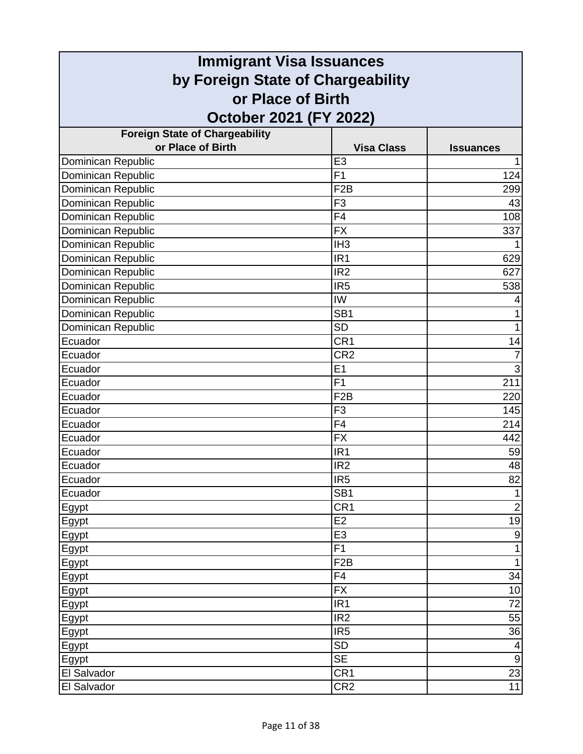| <b>Immigrant Visa Issuances</b>       |                   |                  |
|---------------------------------------|-------------------|------------------|
| by Foreign State of Chargeability     |                   |                  |
| or Place of Birth                     |                   |                  |
| October 2021 (FY 2022)                |                   |                  |
| <b>Foreign State of Chargeability</b> |                   |                  |
| or Place of Birth                     | <b>Visa Class</b> | <b>Issuances</b> |
| <b>Dominican Republic</b>             | E <sub>3</sub>    | 1                |
| Dominican Republic                    | F <sub>1</sub>    | 124              |
| Dominican Republic                    | F <sub>2</sub> B  | 299              |
| Dominican Republic                    | F <sub>3</sub>    | 43               |
| Dominican Republic                    | F <sub>4</sub>    | 108              |
| Dominican Republic                    | <b>FX</b>         | 337              |
| Dominican Republic                    | IH <sub>3</sub>   | 1                |
| Dominican Republic                    | IR <sub>1</sub>   | 629              |
| Dominican Republic                    | IR <sub>2</sub>   | 627              |
| Dominican Republic                    | IR <sub>5</sub>   | 538              |
| Dominican Republic                    | IW                | 4                |
| Dominican Republic                    | SB <sub>1</sub>   | 1                |
| Dominican Republic                    | <b>SD</b>         | $\mathbf{1}$     |
| Ecuador                               | CR <sub>1</sub>   | 14               |
| Ecuador                               | CR <sub>2</sub>   | $\overline{7}$   |
| Ecuador                               | E1                | $\overline{3}$   |
| Ecuador                               | F <sub>1</sub>    | 211              |
| Ecuador                               | F <sub>2</sub> B  | 220              |
| Ecuador                               | F <sub>3</sub>    | 145              |
| Ecuador                               | F <sub>4</sub>    | 214              |
| Ecuador                               | <b>FX</b>         | 442              |
| Ecuador                               | IR <sub>1</sub>   | 59               |
| Ecuador                               | IR <sub>2</sub>   | 48               |
| Ecuador                               | IR <sub>5</sub>   | 82               |
| Ecuador                               | SB <sub>1</sub>   | $\mathbf{1}$     |
| Egypt                                 | CR1               | $\overline{2}$   |
| Egypt                                 | E <sub>2</sub>    | 19               |
| Egypt                                 | E <sub>3</sub>    | $\overline{9}$   |
| Egypt                                 | F <sub>1</sub>    | $\mathbf{1}$     |
| Egypt                                 | F2B               | $\mathbf{1}$     |
| Egypt                                 | F <sub>4</sub>    | 34               |
| Egypt                                 | <b>FX</b>         | 10               |
| Egypt                                 | IR <sub>1</sub>   | 72               |
| Egypt                                 | IR <sub>2</sub>   | 55               |
| Egypt                                 | IR <sub>5</sub>   | 36               |
| Egypt                                 | <b>SD</b>         | 4                |
| Egypt                                 | <b>SE</b>         | $9\,$            |
| El Salvador                           | CR <sub>1</sub>   | 23               |
| El Salvador                           | CR <sub>2</sub>   | 11               |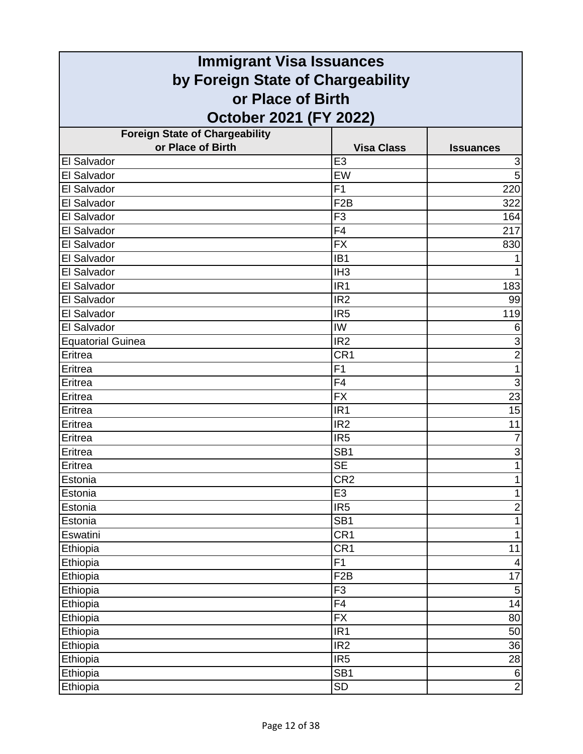| <b>Immigrant Visa Issuances</b>                        |                   |                  |
|--------------------------------------------------------|-------------------|------------------|
| by Foreign State of Chargeability<br>or Place of Birth |                   |                  |
|                                                        |                   |                  |
| <b>Foreign State of Chargeability</b>                  |                   |                  |
| or Place of Birth                                      | <b>Visa Class</b> | <b>Issuances</b> |
| El Salvador                                            | E <sub>3</sub>    | 3                |
| El Salvador                                            | EW                | 5                |
| El Salvador                                            | F <sub>1</sub>    | 220              |
| El Salvador                                            | F <sub>2</sub> B  | 322              |
| El Salvador                                            | F <sub>3</sub>    | 164              |
| El Salvador                                            | F4                | 217              |
| El Salvador                                            | <b>FX</b>         | 830              |
| El Salvador                                            | IB <sub>1</sub>   |                  |
| El Salvador                                            | IH <sub>3</sub>   | 1                |
| El Salvador                                            | IR <sub>1</sub>   | 183              |
| El Salvador                                            | IR <sub>2</sub>   | 99               |
| El Salvador                                            | IR <sub>5</sub>   | 119              |
| El Salvador                                            | IW                | 6                |
| <b>Equatorial Guinea</b>                               | IR <sub>2</sub>   | $\overline{3}$   |
| Eritrea                                                | CR <sub>1</sub>   | $\overline{2}$   |
| Eritrea                                                | F1                | 1                |
| Eritrea                                                | F4                | $\overline{3}$   |
| Eritrea                                                | <b>FX</b>         | 23               |
| Eritrea                                                | IR <sub>1</sub>   | 15               |
| Eritrea                                                | IR <sub>2</sub>   | 11               |
| Eritrea                                                | IR <sub>5</sub>   | $\overline{7}$   |
| Eritrea                                                | SB <sub>1</sub>   | $\mathbf{3}$     |
| Eritrea                                                | <b>SE</b>         | $\mathbf 1$      |
| Estonia                                                | CR <sub>2</sub>   |                  |
| Estonia                                                | E <sub>3</sub>    | 1                |
| Estonia                                                | IR <sub>5</sub>   | $\overline{2}$   |
| Estonia                                                | SB <sub>1</sub>   | $\mathbf{1}$     |
| Eswatini                                               | CR <sub>1</sub>   | $\mathbf{1}$     |
| Ethiopia                                               | CR1               | 11               |
| Ethiopia                                               | F1                | $\overline{4}$   |
| Ethiopia                                               | F <sub>2</sub> B  | 17               |
| Ethiopia                                               | F <sub>3</sub>    | $\mathbf 5$      |
| Ethiopia                                               | $\overline{F4}$   | 14               |
| Ethiopia                                               | <b>FX</b>         | 80               |
| Ethiopia                                               | IR <sub>1</sub>   | 50               |
| Ethiopia                                               | IR <sub>2</sub>   | 36               |
| Ethiopia                                               | IR <sub>5</sub>   | 28               |
| Ethiopia                                               | SB <sub>1</sub>   | $\,6$            |
| Ethiopia                                               | <b>SD</b>         | $\overline{2}$   |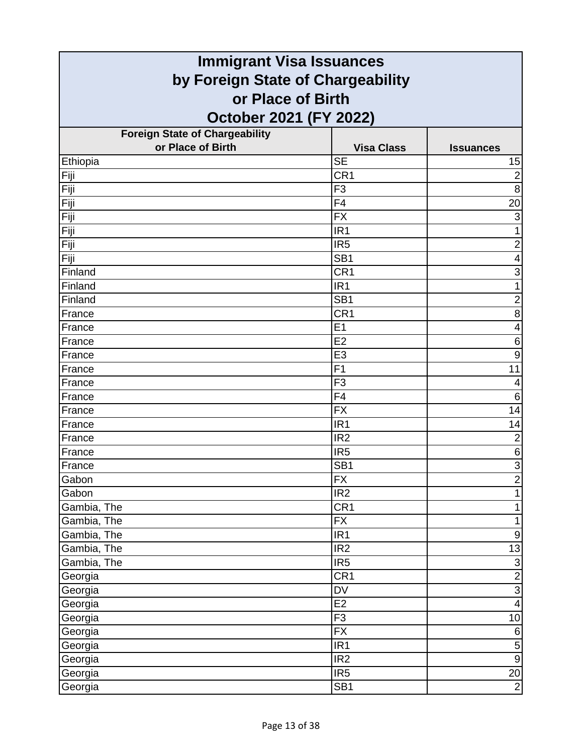| <b>Immigrant Visa Issuances</b>                        |                   |                         |
|--------------------------------------------------------|-------------------|-------------------------|
| by Foreign State of Chargeability<br>or Place of Birth |                   |                         |
|                                                        |                   |                         |
| <b>Foreign State of Chargeability</b>                  |                   |                         |
| or Place of Birth                                      | <b>Visa Class</b> | <b>Issuances</b>        |
| Ethiopia                                               | <b>SE</b>         | 15                      |
| Fiji                                                   | CR <sub>1</sub>   | $\overline{2}$          |
| Fiji                                                   | F <sub>3</sub>    | 8                       |
| Fiji                                                   | F <sub>4</sub>    | 20                      |
| Fiji                                                   | <b>FX</b>         | 3                       |
| Fiji                                                   | IR <sub>1</sub>   | 1                       |
| Fiji                                                   | IR <sub>5</sub>   | $\overline{c}$          |
| Fiji                                                   | SB <sub>1</sub>   | 4                       |
| Finland                                                | CR <sub>1</sub>   | 3                       |
| Finland                                                | IR <sub>1</sub>   | $\mathbf{1}$            |
| Finland                                                | SB <sub>1</sub>   | $\overline{2}$          |
| France                                                 | CR <sub>1</sub>   | 8                       |
| France                                                 | E <sub>1</sub>    | $\overline{\mathbf{4}}$ |
| France                                                 | E2                | 6                       |
| France                                                 | E <sub>3</sub>    | 9                       |
| France                                                 | F <sub>1</sub>    | 11                      |
| France                                                 | F <sub>3</sub>    | 4                       |
| France                                                 | F <sub>4</sub>    | 6                       |
| France                                                 | <b>FX</b>         | 14                      |
| France                                                 | IR <sub>1</sub>   | 14                      |
| France                                                 | IR <sub>2</sub>   | $\overline{2}$          |
| France                                                 | IR <sub>5</sub>   | $\,6$                   |
| France                                                 | SB <sub>1</sub>   | $\overline{3}$          |
| Gabon                                                  | FX                | $\overline{2}$          |
| Gabon                                                  | IR <sub>2</sub>   | $\overline{1}$          |
| Gambia, The                                            | CR1               | $\mathbf{1}$            |
| Gambia, The                                            | <b>FX</b>         | $\mathbf{1}$            |
| Gambia, The                                            | IR1               | $\boldsymbol{9}$        |
| Gambia, The                                            | IR <sub>2</sub>   | 13                      |
| Gambia, The                                            | IR <sub>5</sub>   | $\overline{3}$          |
| Georgia                                                | CR <sub>1</sub>   | $\frac{1}{3}$           |
| Georgia                                                | <b>DV</b>         |                         |
| Georgia                                                | E2                | $\overline{\mathbf{4}}$ |
| Georgia                                                | F <sub>3</sub>    | 10                      |
| Georgia                                                | <b>FX</b>         | $\overline{6}$          |
| Georgia                                                | IR <sub>1</sub>   | $\overline{5}$          |
| Georgia                                                | IR <sub>2</sub>   | $\overline{9}$          |
| Georgia                                                | IR <sub>5</sub>   | 20                      |
| Georgia                                                | SB <sub>1</sub>   | $\overline{2}$          |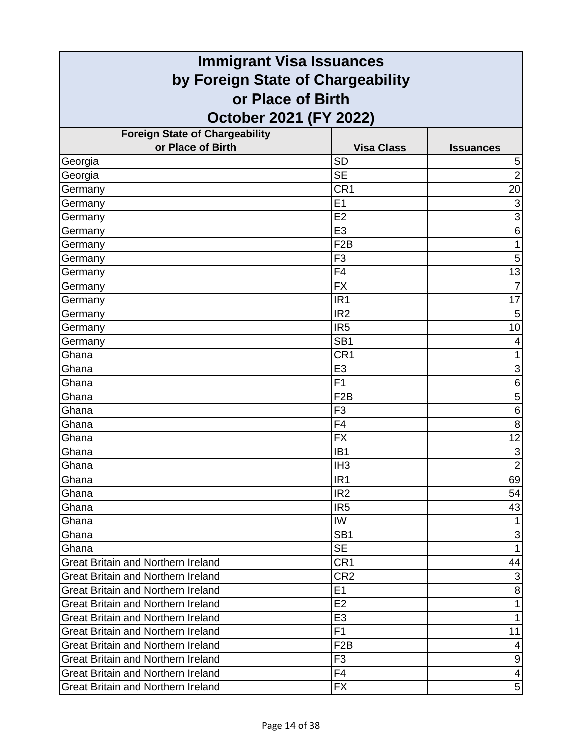| <b>Immigrant Visa Issuances</b>           |                                   |                           |  |
|-------------------------------------------|-----------------------------------|---------------------------|--|
|                                           | by Foreign State of Chargeability |                           |  |
| or Place of Birth                         |                                   |                           |  |
| October 2021 (FY 2022)                    |                                   |                           |  |
| <b>Foreign State of Chargeability</b>     |                                   |                           |  |
| or Place of Birth                         | <b>Visa Class</b>                 | <b>Issuances</b>          |  |
| Georgia                                   | <b>SD</b>                         | 5                         |  |
| Georgia                                   | <b>SE</b>                         | $\overline{2}$            |  |
| Germany                                   | CR1                               | 20                        |  |
| Germany                                   | E1                                | 3                         |  |
| Germany                                   | E2                                | 3                         |  |
| Germany                                   | E <sub>3</sub>                    | 6                         |  |
| Germany                                   | F <sub>2</sub> B                  | 1                         |  |
| Germany                                   | F <sub>3</sub>                    | 5                         |  |
| Germany                                   | F <sub>4</sub>                    | 13                        |  |
| Germany                                   | <b>FX</b>                         | $\overline{7}$            |  |
| Germany                                   | IR <sub>1</sub>                   | 17                        |  |
| Germany                                   | IR <sub>2</sub>                   | 5                         |  |
| Germany                                   | IR <sub>5</sub>                   | 10                        |  |
| Germany                                   | SB <sub>1</sub>                   | 4                         |  |
| Ghana                                     | CR <sub>1</sub>                   |                           |  |
| Ghana                                     | E <sub>3</sub>                    | 3                         |  |
| Ghana                                     | F <sub>1</sub>                    | 6                         |  |
| Ghana                                     | F <sub>2</sub> B                  | 5                         |  |
| Ghana                                     | F <sub>3</sub>                    | 6                         |  |
| Ghana                                     | F <sub>4</sub>                    | 8                         |  |
| Ghana                                     | <b>FX</b>                         | 12                        |  |
| Ghana                                     | IB <sub>1</sub>                   | 3                         |  |
| Ghana                                     | IH <sub>3</sub>                   | $\overline{2}$            |  |
| Ghana                                     | IR1                               | 69                        |  |
| Ghana                                     | IR <sub>2</sub>                   | 54                        |  |
| Ghana                                     | IR <sub>5</sub>                   | 43                        |  |
| Ghana                                     | IW                                |                           |  |
| Ghana                                     | SB <sub>1</sub>                   | $\ensuremath{\mathsf{3}}$ |  |
| Ghana                                     | <b>SE</b>                         | 1                         |  |
| <b>Great Britain and Northern Ireland</b> | CR <sub>1</sub>                   | 44                        |  |
| <b>Great Britain and Northern Ireland</b> | CR <sub>2</sub>                   | $\ensuremath{\mathsf{3}}$ |  |
| <b>Great Britain and Northern Ireland</b> | E1                                | $\bf 8$                   |  |
| <b>Great Britain and Northern Ireland</b> | E2                                | 1                         |  |
| <b>Great Britain and Northern Ireland</b> | E <sub>3</sub>                    | 1                         |  |
| <b>Great Britain and Northern Ireland</b> | F1                                | 11                        |  |
| <b>Great Britain and Northern Ireland</b> | F <sub>2</sub> B                  | 4                         |  |
| <b>Great Britain and Northern Ireland</b> | F <sub>3</sub>                    | $\boldsymbol{9}$          |  |
| <b>Great Britain and Northern Ireland</b> | F <sub>4</sub>                    | $\overline{\mathcal{A}}$  |  |
| <b>Great Britain and Northern Ireland</b> | FX                                | 5                         |  |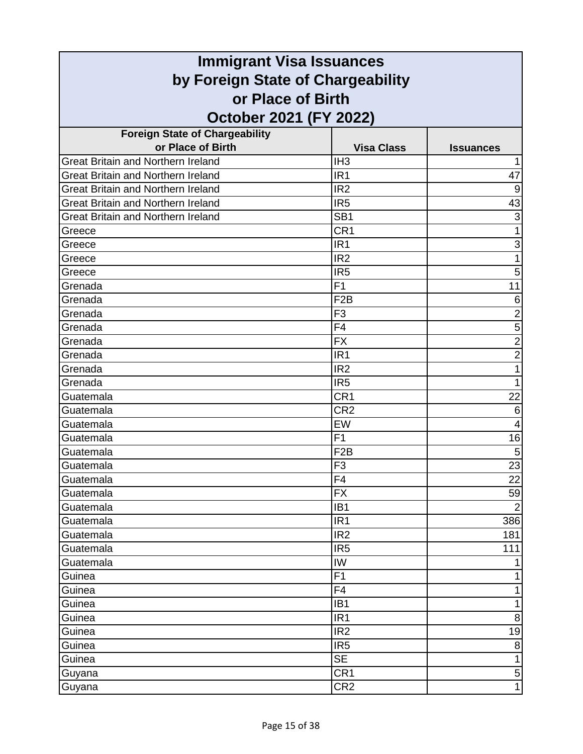| <b>Immigrant Visa Issuances</b>           |                   |                  |
|-------------------------------------------|-------------------|------------------|
| by Foreign State of Chargeability         |                   |                  |
| or Place of Birth                         |                   |                  |
| October 2021 (FY 2022)                    |                   |                  |
| <b>Foreign State of Chargeability</b>     |                   |                  |
| or Place of Birth                         | <b>Visa Class</b> | <b>Issuances</b> |
| <b>Great Britain and Northern Ireland</b> | IH <sub>3</sub>   |                  |
| <b>Great Britain and Northern Ireland</b> | IR <sub>1</sub>   | 47               |
| <b>Great Britain and Northern Ireland</b> | IR <sub>2</sub>   | 9                |
| <b>Great Britain and Northern Ireland</b> | IR <sub>5</sub>   | 43               |
| <b>Great Britain and Northern Ireland</b> | SB <sub>1</sub>   | 3                |
| Greece                                    | CR <sub>1</sub>   | 1                |
| Greece                                    | IR <sub>1</sub>   | 3                |
| Greece                                    | IR <sub>2</sub>   |                  |
| Greece                                    | IR <sub>5</sub>   | 5                |
| Grenada                                   | F <sub>1</sub>    | 11               |
| Grenada                                   | F <sub>2</sub> B  | 6                |
| Grenada                                   | F <sub>3</sub>    | $\overline{c}$   |
| Grenada                                   | F <sub>4</sub>    | $\overline{5}$   |
| Grenada                                   | <b>FX</b>         | $\overline{2}$   |
| Grenada                                   | IR <sub>1</sub>   | $\overline{c}$   |
| Grenada                                   | IR <sub>2</sub>   | 1                |
| Grenada                                   | IR <sub>5</sub>   | 1                |
| Guatemala                                 | CR <sub>1</sub>   | 22               |
| Guatemala                                 | CR <sub>2</sub>   | 6                |
| Guatemala                                 | EW                | 4                |
| Guatemala                                 | F1                | 16               |
| Guatemala                                 | F <sub>2</sub> B  | 5                |
| Guatemala                                 | F <sub>3</sub>    | 23               |
| Guatemala                                 | $\overline{F4}$   | $\overline{22}$  |
| Guatemala                                 | <b>FX</b>         | 59               |
| Guatemala                                 | IB <sub>1</sub>   | $\overline{2}$   |
| Guatemala                                 | IR <sub>1</sub>   | 386              |
| Guatemala                                 | IR <sub>2</sub>   | 181              |
| Guatemala                                 | IR <sub>5</sub>   | 111              |
| Guatemala                                 | IW                |                  |
| Guinea                                    | F1                |                  |
| Guinea                                    | F <sub>4</sub>    | 1                |
| Guinea                                    | IB <sub>1</sub>   | 1                |
| Guinea                                    | IR <sub>1</sub>   | 8                |
| Guinea                                    | IR <sub>2</sub>   | 19               |
| Guinea                                    | IR <sub>5</sub>   | 8                |
| Guinea                                    | <b>SE</b>         | 1                |
| Guyana                                    | CR <sub>1</sub>   | $\mathbf 5$      |
| Guyana                                    | CR <sub>2</sub>   | $\mathbf{1}$     |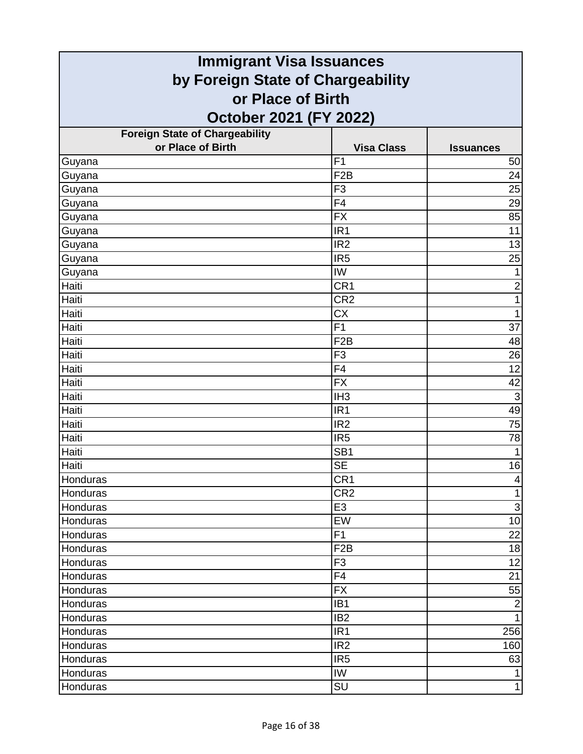| <b>Immigrant Visa Issuances</b>       |                   |                     |
|---------------------------------------|-------------------|---------------------|
| by Foreign State of Chargeability     |                   |                     |
| or Place of Birth                     |                   |                     |
| October 2021 (FY 2022)                |                   |                     |
| <b>Foreign State of Chargeability</b> |                   |                     |
| or Place of Birth                     | <b>Visa Class</b> | <b>Issuances</b>    |
| Guyana                                | F <sub>1</sub>    | 50                  |
| Guyana                                | F <sub>2</sub> B  | 24                  |
| Guyana                                | F <sub>3</sub>    | 25                  |
| Guyana                                | F <sub>4</sub>    | 29                  |
| Guyana                                | <b>FX</b>         | 85                  |
| Guyana                                | IR <sub>1</sub>   | 11                  |
| Guyana                                | IR <sub>2</sub>   | 13                  |
| Guyana                                | IR <sub>5</sub>   | 25                  |
| Guyana                                | IW                | $\mathbf{1}$        |
| Haiti                                 | CR <sub>1</sub>   | $\overline{2}$      |
| Haiti                                 | CR <sub>2</sub>   | $\mathbf{1}$        |
| Haiti                                 | <b>CX</b>         | $\mathbf{1}$        |
| Haiti                                 | F <sub>1</sub>    | 37                  |
| Haiti                                 | F <sub>2</sub> B  | 48                  |
| Haiti                                 | F <sub>3</sub>    | 26                  |
| Haiti                                 | F4                | 12                  |
| Haiti                                 | <b>FX</b>         | 42                  |
| Haiti                                 | IH <sub>3</sub>   | $\overline{\omega}$ |
| Haiti                                 | IR <sub>1</sub>   | 49                  |
| Haiti                                 | IR <sub>2</sub>   | 75                  |
| Haiti                                 | IR <sub>5</sub>   | 78                  |
| Haiti                                 | SB <sub>1</sub>   | 1                   |
| Haiti                                 | <b>SE</b>         | 16                  |
| Honduras                              | CR <sub>1</sub>   | $\vert 4 \vert$     |
| Honduras                              | CR <sub>2</sub>   | $\mathbf{1}$        |
| <b>Honduras</b>                       | E <sub>3</sub>    | $\mathbf{3}$        |
| Honduras                              | EW                | 10                  |
| Honduras                              | F1                | 22                  |
| Honduras                              | F <sub>2</sub> B  | 18                  |
| Honduras                              | F <sub>3</sub>    | 12                  |
| Honduras                              | F <sub>4</sub>    | 21                  |
| Honduras                              | <b>FX</b>         | 55                  |
| Honduras                              | IB <sub>1</sub>   | $\overline{2}$      |
| Honduras                              | IB <sub>2</sub>   | $\mathbf{1}$        |
| Honduras                              | IR <sub>1</sub>   | 256                 |
| Honduras                              | IR <sub>2</sub>   | 160                 |
| Honduras                              | IR <sub>5</sub>   | 63                  |
| Honduras                              | IW                | $\mathbf{1}$        |
| Honduras                              | SU                | $\mathbf{1}$        |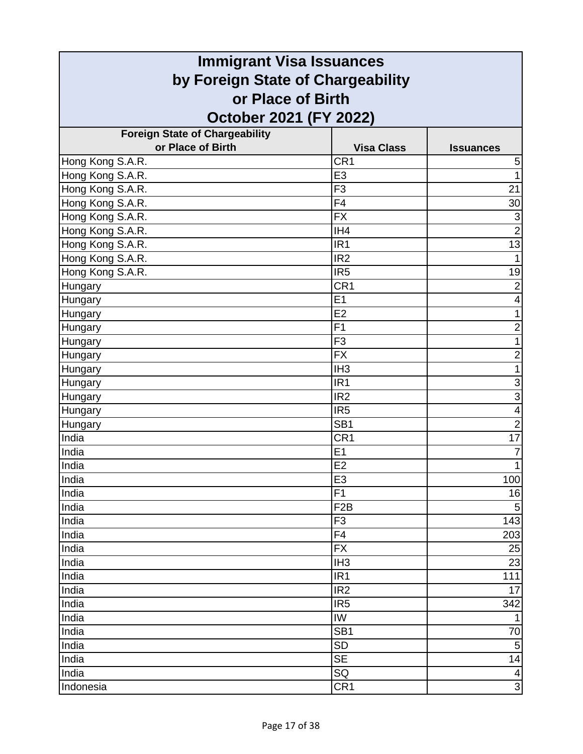| <b>Immigrant Visa Issuances</b>       |                   |                           |
|---------------------------------------|-------------------|---------------------------|
| by Foreign State of Chargeability     |                   |                           |
| or Place of Birth                     |                   |                           |
| October 2021 (FY 2022)                |                   |                           |
| <b>Foreign State of Chargeability</b> |                   |                           |
| or Place of Birth                     | <b>Visa Class</b> | <b>Issuances</b>          |
| Hong Kong S.A.R.                      | CR <sub>1</sub>   | 5                         |
| Hong Kong S.A.R.                      | E <sub>3</sub>    | 1                         |
| Hong Kong S.A.R.                      | F <sub>3</sub>    | 21                        |
| Hong Kong S.A.R.                      | F4                | 30                        |
| Hong Kong S.A.R.                      | <b>FX</b>         | $\ensuremath{\mathsf{3}}$ |
| Hong Kong S.A.R.                      | IH4               | $\overline{2}$            |
| Hong Kong S.A.R.                      | IR <sub>1</sub>   | 13                        |
| Hong Kong S.A.R.                      | IR <sub>2</sub>   |                           |
| Hong Kong S.A.R.                      | IR <sub>5</sub>   | 19                        |
| Hungary                               | CR <sub>1</sub>   | $\overline{2}$            |
| Hungary                               | E1                | 4                         |
| Hungary                               | E2                | 1                         |
| Hungary                               | F <sub>1</sub>    | $\overline{2}$            |
| Hungary                               | F <sub>3</sub>    | 1                         |
| Hungary                               | <b>FX</b>         | $\overline{2}$            |
| Hungary                               | IH <sub>3</sub>   | 1                         |
| Hungary                               | IR <sub>1</sub>   | 3                         |
| Hungary                               | IR <sub>2</sub>   | 3                         |
| Hungary                               | IR <sub>5</sub>   | 4                         |
| Hungary                               | SB <sub>1</sub>   | $\overline{2}$            |
| India                                 | CR <sub>1</sub>   | 17                        |
| India                                 | E1                | 7                         |
| India                                 | E2                | $\mathbf{1}$              |
| India                                 | E3                | 100                       |
| India                                 | F1                | 16                        |
| India                                 | F <sub>2</sub> B  | $\overline{5}$            |
| India                                 | F <sub>3</sub>    | 143                       |
| India                                 | F4                | 203                       |
| India                                 | <b>FX</b>         | 25                        |
| India                                 | IH <sub>3</sub>   | 23                        |
| India                                 | IR <sub>1</sub>   | 111                       |
| India                                 | IR <sub>2</sub>   | 17                        |
| India                                 | IR <sub>5</sub>   | 342                       |
| India                                 | IW                | 1                         |
| India                                 | SB <sub>1</sub>   | 70                        |
| India                                 | <b>SD</b>         | 5                         |
| India                                 | <b>SE</b>         | 14                        |
| India                                 | SQ                | 4<br>$\overline{3}$       |
| Indonesia                             | CR <sub>1</sub>   |                           |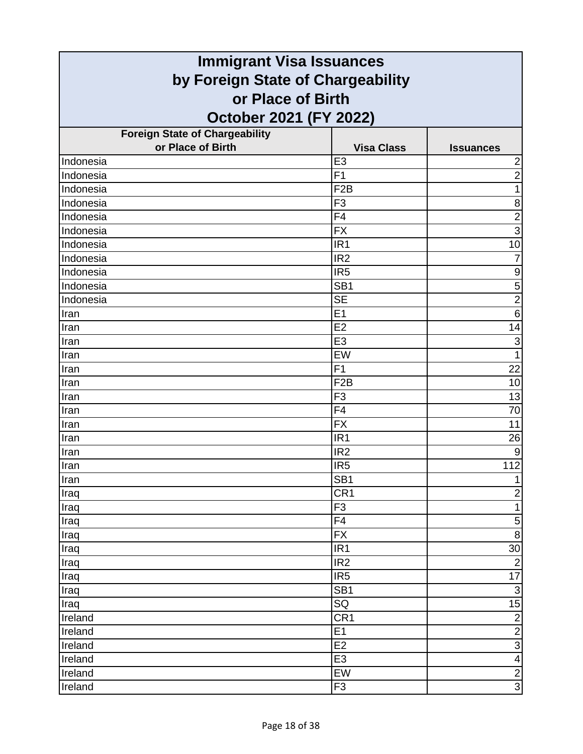| <b>Immigrant Visa Issuances</b>       |                   |                         |
|---------------------------------------|-------------------|-------------------------|
| by Foreign State of Chargeability     |                   |                         |
| or Place of Birth                     |                   |                         |
| October 2021 (FY 2022)                |                   |                         |
| <b>Foreign State of Chargeability</b> |                   |                         |
| or Place of Birth                     | <b>Visa Class</b> | <b>Issuances</b>        |
| Indonesia                             | E <sub>3</sub>    | $\overline{\mathbf{c}}$ |
| Indonesia                             | F1                | $\overline{2}$          |
| Indonesia                             | F <sub>2</sub> B  | 1                       |
| Indonesia                             | F <sub>3</sub>    | 8                       |
| Indonesia                             | F4                | $\overline{c}$          |
| Indonesia                             | <b>FX</b>         | $\overline{3}$          |
| Indonesia                             | IR <sub>1</sub>   | 10                      |
| Indonesia                             | IR <sub>2</sub>   | 7                       |
| Indonesia                             | IR <sub>5</sub>   | $\boldsymbol{9}$        |
| Indonesia                             | SB <sub>1</sub>   | $\overline{5}$          |
| Indonesia                             | <b>SE</b>         | $\overline{2}$          |
| Iran                                  | E1                | $6\phantom{1}6$         |
| Iran                                  | E2                | 14                      |
| Iran                                  | E <sub>3</sub>    | 3                       |
| Iran                                  | EW                | 1                       |
| Iran                                  | F1                | 22                      |
| Iran                                  | F <sub>2</sub> B  | 10                      |
| Iran                                  | F <sub>3</sub>    | 13                      |
| Iran                                  | F4                | 70                      |
| Iran                                  | <b>FX</b>         | 11                      |
| Iran                                  | IR <sub>1</sub>   | 26                      |
| Iran                                  | IR <sub>2</sub>   | 9                       |
| Iran                                  | IR <sub>5</sub>   | 112                     |
| Iran                                  | SB <sub>1</sub>   | 1                       |
| Iraq                                  | CR <sub>1</sub>   | $\overline{2}$          |
| Iraq                                  | F <sub>3</sub>    | $\mathbf{1}$            |
| Iraq                                  | F4                | $\mathbf 5$             |
| Iraq                                  | <b>FX</b>         | $\overline{8}$          |
| Iraq                                  | IR <sub>1</sub>   | 30                      |
| Iraq                                  | IR <sub>2</sub>   | $\overline{2}$          |
| Iraq                                  | IR <sub>5</sub>   | 17                      |
| Iraq                                  | SB <sub>1</sub>   | $\overline{\omega}$     |
| Iraq                                  | SQ                | 15                      |
| Ireland                               | CR1               | $\overline{2}$          |
| Ireland                               | E1                | $\overline{2}$          |
| Ireland                               | E <sub>2</sub>    | $\frac{1}{4}$           |
| Ireland                               | E <sub>3</sub>    |                         |
| Ireland                               | EW                | $\frac{2}{3}$           |
| Ireland                               | F <sub>3</sub>    |                         |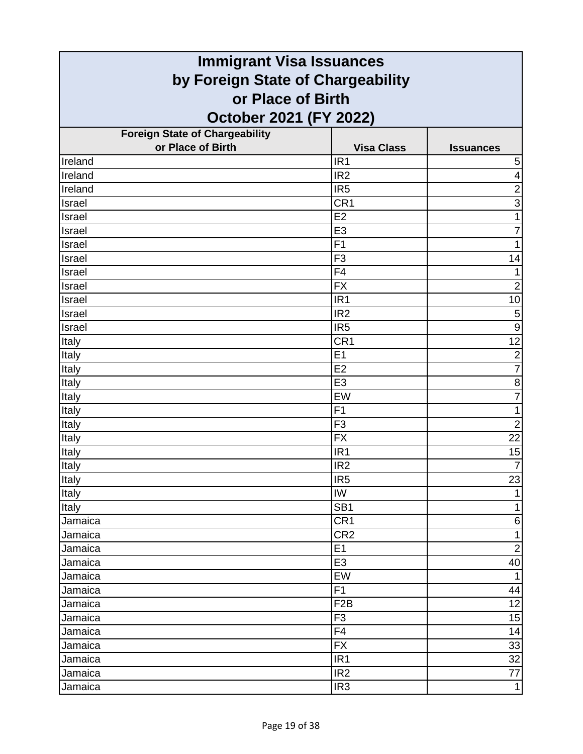| <b>Immigrant Visa Issuances</b>       |                   |                         |
|---------------------------------------|-------------------|-------------------------|
| by Foreign State of Chargeability     |                   |                         |
| or Place of Birth                     |                   |                         |
| October 2021 (FY 2022)                |                   |                         |
| <b>Foreign State of Chargeability</b> |                   |                         |
| or Place of Birth                     | <b>Visa Class</b> | <b>Issuances</b>        |
| Ireland                               | IR <sub>1</sub>   | 5                       |
| <b>Treland</b>                        | IR <sub>2</sub>   | $\overline{\mathbf{4}}$ |
| Ireland                               | IR <sub>5</sub>   | $\overline{2}$          |
| Israel                                | CR <sub>1</sub>   | $\overline{3}$          |
| Israel                                | E2                | $\mathbf{1}$            |
| Israel                                | E <sub>3</sub>    | $\overline{7}$          |
| Israel                                | F <sub>1</sub>    | 1                       |
| Israel                                | F <sub>3</sub>    | 14                      |
| Israel                                | F4                | 1                       |
| Israel                                | <b>FX</b>         | $\overline{2}$          |
| Israel                                | IR <sub>1</sub>   | 10                      |
| Israel                                | IR <sub>2</sub>   | 5                       |
| Israel                                | IR <sub>5</sub>   | $\overline{9}$          |
| Italy                                 | CR <sub>1</sub>   | 12                      |
| Italy                                 | E1                | $\frac{2}{7}$           |
| Italy                                 | E2                |                         |
| Italy                                 | E <sub>3</sub>    | $\bf 8$                 |
| Italy                                 | EW                | $\overline{7}$          |
| Italy                                 | F <sub>1</sub>    | $\mathbf{1}$            |
| Italy                                 | F <sub>3</sub>    | $\overline{2}$          |
| Italy                                 | <b>FX</b>         | $\overline{22}$         |
| Italy                                 | IR <sub>1</sub>   | 15                      |
| Italy                                 | IR <sub>2</sub>   | $\overline{7}$          |
| <b>Italy</b>                          | IR5               | $\overline{23}$         |
| Italy                                 | IW                | $\mathbf{1}$            |
| Italy                                 | SB <sub>1</sub>   | $\mathbf{1}$            |
| Jamaica                               | CR <sub>1</sub>   | $\,$ 6 $\,$             |
| Jamaica                               | CR <sub>2</sub>   | $\mathbf{1}$            |
| Jamaica                               | E1                | $\overline{2}$          |
| Jamaica                               | E <sub>3</sub>    | 40                      |
| Jamaica                               | EW                | $\mathbf{1}$            |
| Jamaica                               | F1                | 44                      |
| Jamaica                               | F <sub>2</sub> B  | 12                      |
| Jamaica                               | F <sub>3</sub>    | 15                      |
| Jamaica                               | $\overline{F4}$   | 14                      |
| Jamaica                               | <b>FX</b>         | 33                      |
| Jamaica                               | IR <sub>1</sub>   | 32                      |
| Jamaica                               | IR <sub>2</sub>   | 77                      |
| Jamaica                               | IR <sub>3</sub>   | $\mathbf{1}$            |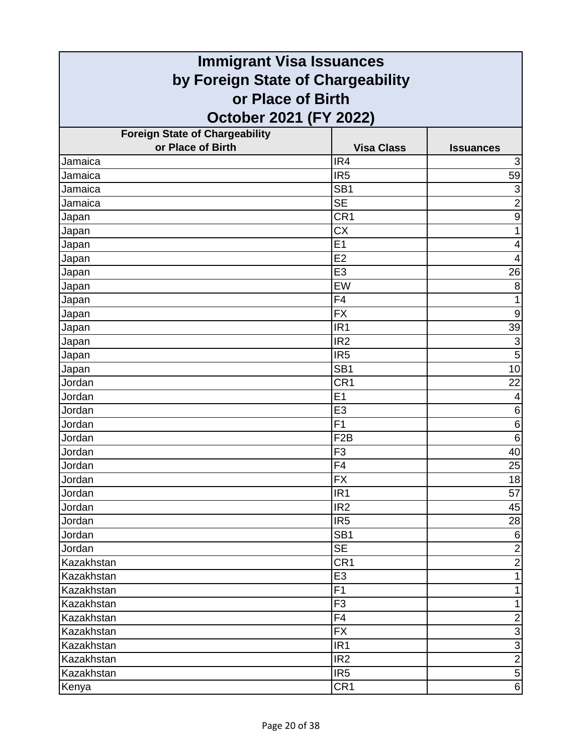| <b>Immigrant Visa Issuances</b>                            |                                    |                  |
|------------------------------------------------------------|------------------------------------|------------------|
| by Foreign State of Chargeability                          |                                    |                  |
| or Place of Birth                                          |                                    |                  |
| October 2021 (FY 2022)                                     |                                    |                  |
|                                                            |                                    |                  |
| <b>Foreign State of Chargeability</b><br>or Place of Birth | <b>Visa Class</b>                  | <b>Issuances</b> |
| Jamaica                                                    | IR4                                | 3                |
| Jamaica                                                    | IR <sub>5</sub>                    | 59               |
| Jamaica                                                    | SB <sub>1</sub>                    | $\overline{3}$   |
| Jamaica                                                    | <b>SE</b>                          | $\overline{2}$   |
| Japan                                                      | CR1                                | $\boldsymbol{9}$ |
| Japan                                                      | <b>CX</b>                          | $\mathbf{1}$     |
| Japan                                                      | E1                                 | 4                |
| Japan                                                      | E2                                 | 4                |
| Japan                                                      | E <sub>3</sub>                     | 26               |
| Japan                                                      | EW                                 | 8                |
| Japan                                                      | F <sub>4</sub>                     | $\mathbf{1}$     |
| Japan                                                      | <b>FX</b>                          | $\boldsymbol{9}$ |
| Japan                                                      | IR <sub>1</sub>                    | 39               |
| Japan                                                      | IR <sub>2</sub>                    | $\overline{3}$   |
| Japan                                                      | IR <sub>5</sub>                    | $\overline{5}$   |
| Japan                                                      | SB <sub>1</sub>                    | 10               |
| Jordan                                                     | CR1                                | 22               |
| Jordan                                                     | E1                                 | 4                |
| Jordan                                                     | E <sub>3</sub>                     | 6                |
| Jordan                                                     | F <sub>1</sub>                     | 6                |
| Jordan                                                     | F <sub>2</sub> B                   | 6                |
| Jordan                                                     | F <sub>3</sub>                     | 40               |
| Jordan                                                     | F4                                 | 25               |
| Jordan                                                     | $\overline{FX}$                    | 18               |
| Jordan                                                     | IR <sub>1</sub>                    | 57               |
| Jordan                                                     | IR <sub>2</sub>                    | 45               |
| Jordan                                                     | IR <sub>5</sub>                    | 28               |
| Jordan                                                     | $\overline{SB1}$                   | $\sigma$         |
| Jordan                                                     | <b>SE</b>                          | $\overline{2}$   |
| Kazakhstan                                                 | CR <sub>1</sub>                    | $\overline{2}$   |
| Kazakhstan                                                 | E <sub>3</sub>                     | $\mathbf{1}$     |
| Kazakhstan                                                 | F <sub>1</sub>                     | $\mathbf{1}$     |
| Kazakhstan                                                 | F <sub>3</sub>                     | $\mathbf{1}$     |
| Kazakhstan                                                 | F4                                 | $\frac{1}{3}$    |
| Kazakhstan                                                 | <b>FX</b>                          |                  |
| Kazakhstan                                                 | IR <sub>1</sub>                    | $\frac{3}{2}$    |
| Kazakhstan<br>Kazakhstan                                   | IR <sub>2</sub><br>IR <sub>5</sub> | $\overline{5}$   |
|                                                            |                                    | $\overline{6}$   |
| Kenya                                                      | CR <sub>1</sub>                    |                  |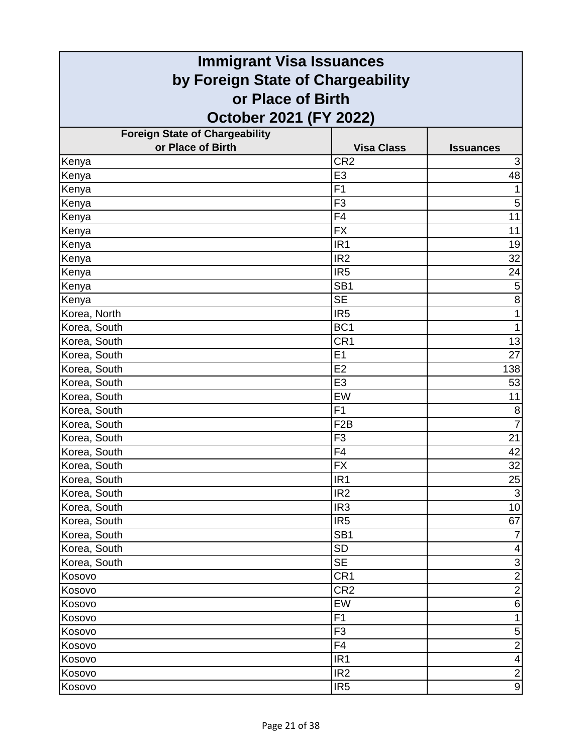| <b>Immigrant Visa Issuances</b>       |                   |                           |
|---------------------------------------|-------------------|---------------------------|
| by Foreign State of Chargeability     |                   |                           |
| or Place of Birth                     |                   |                           |
| October 2021 (FY 2022)                |                   |                           |
| <b>Foreign State of Chargeability</b> |                   |                           |
| or Place of Birth                     | <b>Visa Class</b> | <b>Issuances</b>          |
| Kenya                                 | CR <sub>2</sub>   | 3                         |
| Kenya                                 | E <sub>3</sub>    | 48                        |
| Kenya                                 | F <sub>1</sub>    | 1                         |
| Kenya                                 | F <sub>3</sub>    | 5                         |
| Kenya                                 | F4                | 11                        |
| Kenya                                 | <b>FX</b>         | 11                        |
| Kenya                                 | IR <sub>1</sub>   | 19                        |
| Kenya                                 | IR <sub>2</sub>   | 32                        |
| Kenya                                 | IR <sub>5</sub>   | 24                        |
| Kenya                                 | SB <sub>1</sub>   | $\mathbf 5$               |
| Kenya                                 | <b>SE</b>         | 8                         |
| Korea, North                          | IR <sub>5</sub>   | $\mathbf{1}$              |
| Korea, South                          | BC <sub>1</sub>   | $\mathbf{1}$              |
| Korea, South                          | CR <sub>1</sub>   | 13                        |
| Korea, South                          | E1                | 27                        |
| Korea, South                          | E2                | 138                       |
| Korea, South                          | E <sub>3</sub>    | 53                        |
| Korea, South                          | EW                | 11                        |
| Korea, South                          | F <sub>1</sub>    | 8                         |
| Korea, South                          | F <sub>2</sub> B  | $\overline{7}$            |
| Korea, South                          | F <sub>3</sub>    | 21                        |
| Korea, South                          | F <sub>4</sub>    | 42                        |
| Korea, South                          | <b>FX</b>         | 32                        |
| Korea, South                          | IR1               | 25                        |
| Korea, South                          | IR <sub>2</sub>   | $\overline{3}$            |
| Korea, South                          | IR <sub>3</sub>   | 10                        |
| Korea, South                          | IR <sub>5</sub>   | 67                        |
| Korea, South                          | SB <sub>1</sub>   | $\overline{7}$            |
| Korea, South                          | <b>SD</b>         | 4                         |
| Korea, South                          | <b>SE</b>         | $\ensuremath{\mathsf{3}}$ |
| Kosovo                                | CR <sub>1</sub>   | $\frac{1}{2}$             |
| Kosovo                                | CR <sub>2</sub>   |                           |
| Kosovo                                | EW                | $\,6$                     |
| Kosovo                                | F1                | 1                         |
| Kosovo                                | F <sub>3</sub>    | $\mathbf 5$               |
| Kosovo                                | F4                | $\overline{2}$            |
| Kosovo                                | IR <sub>1</sub>   | $\overline{\mathbf{4}}$   |
| Kosovo                                | IR <sub>2</sub>   | $\overline{2}$            |
| Kosovo                                | IR <sub>5</sub>   | $\overline{9}$            |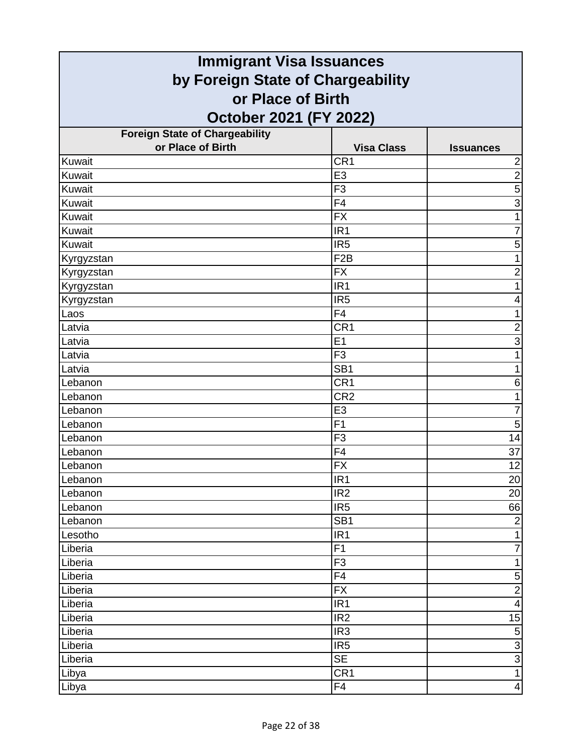| <b>Immigrant Visa Issuances</b>       |                   |                         |
|---------------------------------------|-------------------|-------------------------|
| by Foreign State of Chargeability     |                   |                         |
| or Place of Birth                     |                   |                         |
| October 2021 (FY 2022)                |                   |                         |
| <b>Foreign State of Chargeability</b> |                   |                         |
| or Place of Birth                     | <b>Visa Class</b> | <b>Issuances</b>        |
| Kuwait                                | CR <sub>1</sub>   | $\overline{2}$          |
| Kuwait                                | E <sub>3</sub>    | $\overline{2}$          |
| Kuwait                                | F <sub>3</sub>    | 5                       |
| Kuwait                                | F <sub>4</sub>    | $\overline{3}$          |
| Kuwait                                | <b>FX</b>         | 1                       |
| Kuwait                                | IR <sub>1</sub>   | $\overline{7}$          |
| Kuwait                                | IR <sub>5</sub>   | 5                       |
| Kyrgyzstan                            | F <sub>2</sub> B  |                         |
| Kyrgyzstan                            | <b>FX</b>         | $\overline{2}$          |
| Kyrgyzstan                            | IR <sub>1</sub>   | 1                       |
| Kyrgyzstan                            | IR <sub>5</sub>   | 4                       |
| Laos                                  | F <sub>4</sub>    | 1                       |
| Latvia                                | CR <sub>1</sub>   | $\overline{c}$          |
| Latvia                                | E1                | $\overline{3}$          |
| Latvia                                | F <sub>3</sub>    | 1                       |
| Latvia                                | SB <sub>1</sub>   | 1                       |
| Lebanon                               | CR <sub>1</sub>   | 6                       |
| Lebanon                               | CR <sub>2</sub>   | 1                       |
| Lebanon                               | E <sub>3</sub>    | $\overline{7}$          |
| Lebanon                               | F <sub>1</sub>    | 5                       |
| Lebanon                               | F <sub>3</sub>    | 14                      |
| Lebanon                               | F4                | 37                      |
| Lebanon                               | <b>FX</b>         | 12                      |
| Lebanon                               | IR1               | 20                      |
| Lebanon                               | IR <sub>2</sub>   | $\overline{20}$         |
| Lebanon                               | IR <sub>5</sub>   | 66                      |
| Lebanon                               | SB <sub>1</sub>   | $\sqrt{2}$              |
| Lesotho                               | IR <sub>1</sub>   | $\mathbf{1}$            |
| Liberia                               | F1                | $\overline{7}$          |
| Liberia                               | F <sub>3</sub>    | $\mathbf{1}$            |
| Liberia                               | F4                | 5                       |
| Liberia                               | <b>FX</b>         | $\overline{2}$          |
| Liberia                               | IR <sub>1</sub>   | $\overline{\mathbf{4}}$ |
| Liberia                               | IR <sub>2</sub>   | 15                      |
| Liberia                               | IR <sub>3</sub>   | $\overline{5}$          |
| Liberia                               | IR <sub>5</sub>   | $\frac{3}{3}$           |
| Liberia                               | <b>SE</b>         | $\overline{1}$          |
| Libya                                 | CR <sub>1</sub>   |                         |
| Libya                                 | F4                | $\overline{\mathbf{4}}$ |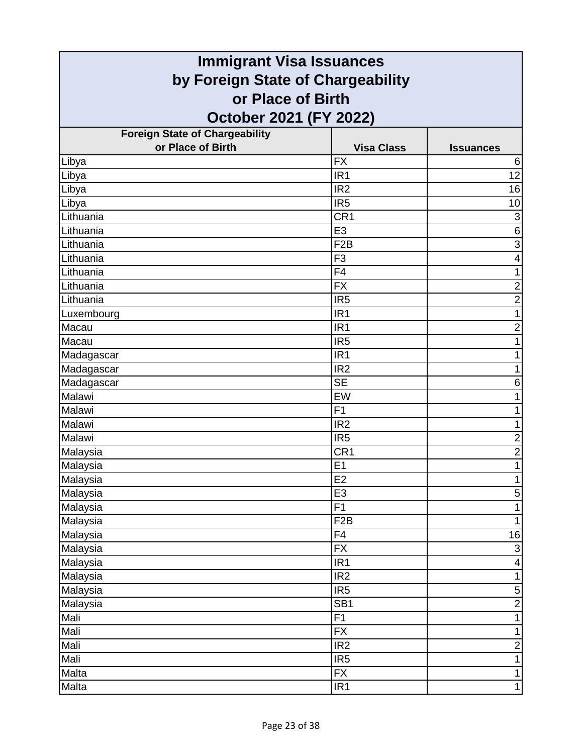| <b>Immigrant Visa Issuances</b>                                                  |                        |                           |                                       |                   |                  |
|----------------------------------------------------------------------------------|------------------------|---------------------------|---------------------------------------|-------------------|------------------|
| by Foreign State of Chargeability<br>or Place of Birth<br>October 2021 (FY 2022) |                        |                           |                                       |                   |                  |
|                                                                                  |                        |                           | <b>Foreign State of Chargeability</b> |                   |                  |
|                                                                                  |                        |                           | or Place of Birth                     | <b>Visa Class</b> | <b>Issuances</b> |
| Libya                                                                            | <b>FX</b>              | 6                         |                                       |                   |                  |
| Libya                                                                            | IR <sub>1</sub>        | 12                        |                                       |                   |                  |
| Libya                                                                            | IR <sub>2</sub>        | 16                        |                                       |                   |                  |
| Libya                                                                            | IR <sub>5</sub>        | 10                        |                                       |                   |                  |
| Lithuania                                                                        | CR <sub>1</sub>        | $\ensuremath{\mathsf{3}}$ |                                       |                   |                  |
| Lithuania                                                                        | E <sub>3</sub>         | $\,6$                     |                                       |                   |                  |
| Lithuania                                                                        | F <sub>2</sub> B       | $\overline{3}$            |                                       |                   |                  |
| Lithuania                                                                        | F <sub>3</sub>         | 4                         |                                       |                   |                  |
| Lithuania                                                                        | F4                     | 1                         |                                       |                   |                  |
| Lithuania                                                                        | <b>FX</b>              | $\overline{\mathbf{c}}$   |                                       |                   |                  |
| Lithuania                                                                        | IR <sub>5</sub>        | $\overline{c}$            |                                       |                   |                  |
| Luxembourg                                                                       | IR <sub>1</sub>        | 1                         |                                       |                   |                  |
| Macau                                                                            | IR <sub>1</sub>        | $\overline{2}$            |                                       |                   |                  |
| Macau                                                                            | IR <sub>5</sub>        | 1                         |                                       |                   |                  |
| Madagascar                                                                       | IR <sub>1</sub>        |                           |                                       |                   |                  |
| Madagascar                                                                       | IR <sub>2</sub>        | 1                         |                                       |                   |                  |
| Madagascar                                                                       | $\overline{\text{SE}}$ | 6                         |                                       |                   |                  |
| Malawi                                                                           | EW                     | 1                         |                                       |                   |                  |
| Malawi                                                                           | F <sub>1</sub>         | 1                         |                                       |                   |                  |
| Malawi                                                                           | IR <sub>2</sub>        | 1                         |                                       |                   |                  |
| Malawi                                                                           | IR <sub>5</sub>        | $\overline{c}$            |                                       |                   |                  |
| Malaysia                                                                         | CR <sub>1</sub>        | $\overline{c}$            |                                       |                   |                  |
| Malaysia                                                                         | E1                     | $\mathbf 1$               |                                       |                   |                  |
| Malaysia                                                                         | E2                     |                           |                                       |                   |                  |
| Malaysia                                                                         | E <sub>3</sub>         | $\mathbf 5$               |                                       |                   |                  |
| Malaysia                                                                         | $\overline{F1}$        | 1                         |                                       |                   |                  |
| Malaysia                                                                         | F <sub>2</sub> B       | 1                         |                                       |                   |                  |
| Malaysia                                                                         | $\overline{F4}$        | 16                        |                                       |                   |                  |
| Malaysia                                                                         | $\overline{FX}$        | $\ensuremath{\mathsf{3}}$ |                                       |                   |                  |
| Malaysia                                                                         | IR <sub>1</sub>        | 4                         |                                       |                   |                  |
| Malaysia                                                                         | IR <sub>2</sub>        | $\mathbf{1}$              |                                       |                   |                  |
| Malaysia                                                                         | IR <sub>5</sub>        | $\mathbf 5$               |                                       |                   |                  |
| Malaysia                                                                         | SB <sub>1</sub>        | $\overline{2}$            |                                       |                   |                  |
| Mali                                                                             | F1                     | 1                         |                                       |                   |                  |
| Mali                                                                             | $\overline{FX}$        | 1                         |                                       |                   |                  |
| Mali                                                                             | IR <sub>2</sub>        | $\overline{\mathbf{c}}$   |                                       |                   |                  |
| Mali                                                                             | IR <sub>5</sub>        | 1                         |                                       |                   |                  |
| Malta                                                                            | <b>FX</b>              | 1                         |                                       |                   |                  |
| Malta                                                                            | IR <sub>1</sub>        | $\mathbf{1}$              |                                       |                   |                  |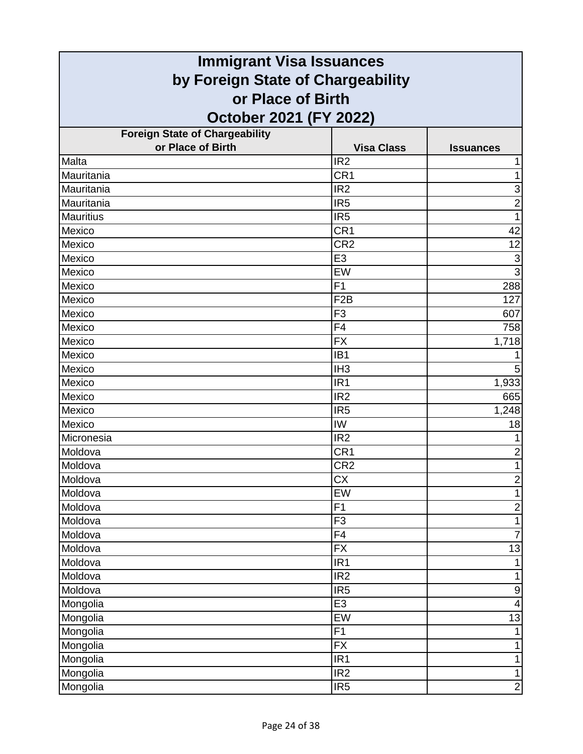| <b>Immigrant Visa Issuances</b>                        |                   |                           |
|--------------------------------------------------------|-------------------|---------------------------|
| by Foreign State of Chargeability<br>or Place of Birth |                   |                           |
|                                                        |                   |                           |
| <b>Foreign State of Chargeability</b>                  |                   |                           |
| or Place of Birth                                      | <b>Visa Class</b> | <b>Issuances</b>          |
| Malta                                                  | IR <sub>2</sub>   |                           |
| Mauritania                                             | CR <sub>1</sub>   | 1                         |
| Mauritania                                             | IR <sub>2</sub>   | 3                         |
| Mauritania                                             | IR <sub>5</sub>   | $\overline{c}$            |
| <b>Mauritius</b>                                       | IR <sub>5</sub>   | 1                         |
| Mexico                                                 | CR <sub>1</sub>   | 42                        |
| Mexico                                                 | CR <sub>2</sub>   | 12                        |
| Mexico                                                 | E <sub>3</sub>    | $\ensuremath{\mathsf{3}}$ |
| Mexico                                                 | EW                | $\overline{3}$            |
| Mexico                                                 | F1                | 288                       |
| Mexico                                                 | F <sub>2</sub> B  | 127                       |
| Mexico                                                 | F <sub>3</sub>    | 607                       |
| Mexico                                                 | F4                | 758                       |
| Mexico                                                 | <b>FX</b>         | 1,718                     |
| Mexico                                                 | IB <sub>1</sub>   |                           |
| Mexico                                                 | IH <sub>3</sub>   | 5                         |
| Mexico                                                 | IR <sub>1</sub>   | 1,933                     |
| Mexico                                                 | IR <sub>2</sub>   | 665                       |
| Mexico                                                 | IR <sub>5</sub>   | 1,248                     |
| Mexico                                                 | IW                | 18                        |
| Micronesia                                             | IR <sub>2</sub>   |                           |
| Moldova                                                | CR <sub>1</sub>   | $\overline{2}$            |
| Moldova                                                | CR <sub>2</sub>   | 1                         |
| Moldova                                                | CX                | $\overline{\mathbf{c}}$   |
| Moldova                                                | EW                | $\overline{1}$            |
| Moldova                                                | F1                | $\overline{c}$            |
| Moldova                                                | F <sub>3</sub>    | 1                         |
| Moldova                                                | F4                | $\overline{7}$            |
| Moldova                                                | $\overline{FX}$   | 13                        |
| Moldova                                                | IR <sub>1</sub>   | 1                         |
| Moldova                                                | IR <sub>2</sub>   | 1                         |
| Moldova                                                | IR <sub>5</sub>   | $\boldsymbol{9}$          |
| Mongolia                                               | E3                | 4                         |
| Mongolia                                               | EW                | 13                        |
| Mongolia                                               | $\overline{F1}$   |                           |
| Mongolia                                               | $\overline{FX}$   | 1                         |
| Mongolia                                               | IR <sub>1</sub>   | 1                         |
| Mongolia                                               | IR2               | 1                         |
| Mongolia                                               | IR <sub>5</sub>   | $\mathbf{2}$              |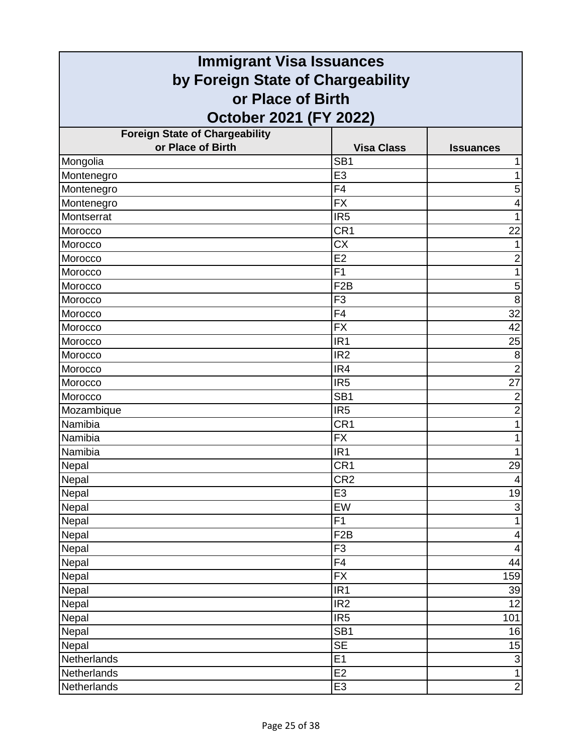| <b>Immigrant Visa Issuances</b>                        |                   |                           |
|--------------------------------------------------------|-------------------|---------------------------|
| by Foreign State of Chargeability<br>or Place of Birth |                   |                           |
|                                                        |                   |                           |
| <b>Foreign State of Chargeability</b>                  |                   |                           |
| or Place of Birth                                      | <b>Visa Class</b> | <b>Issuances</b>          |
| Mongolia                                               | SB <sub>1</sub>   |                           |
| Montenegro                                             | E <sub>3</sub>    | 1                         |
| Montenegro                                             | F4                | 5                         |
| Montenegro                                             | <b>FX</b>         | 4                         |
| Montserrat                                             | IR <sub>5</sub>   | 1                         |
| Morocco                                                | CR <sub>1</sub>   | 22                        |
| Morocco                                                | <b>CX</b>         |                           |
| Morocco                                                | E2                | $\overline{2}$            |
| Morocco                                                | F1                | 1                         |
| Morocco                                                | F <sub>2</sub> B  | $\mathbf 5$               |
| Morocco                                                | F <sub>3</sub>    | 8                         |
| Morocco                                                | F <sub>4</sub>    | 32                        |
| Morocco                                                | <b>FX</b>         | 42                        |
| Morocco                                                | IR <sub>1</sub>   | 25                        |
| Morocco                                                | IR <sub>2</sub>   | 8                         |
| Morocco                                                | IR4               | $\overline{2}$            |
| Morocco                                                | IR <sub>5</sub>   | $\overline{27}$           |
| Morocco                                                | SB <sub>1</sub>   | $\overline{2}$            |
| Mozambique                                             | IR <sub>5</sub>   | $\overline{2}$            |
| Namibia                                                | CR1               | 1                         |
| Namibia                                                | <b>FX</b>         |                           |
| Namibia                                                | IR <sub>1</sub>   |                           |
| Nepal                                                  | CR <sub>1</sub>   | 29                        |
| Nepal                                                  | CR <sub>2</sub>   | 4                         |
| Nepal                                                  | E <sub>3</sub>    | 19                        |
| Nepal                                                  | EW                | $\ensuremath{\mathsf{3}}$ |
| Nepal                                                  | F1                | 1                         |
| Nepal                                                  | F2B               | $\overline{\mathbf{4}}$   |
| Nepal                                                  | F <sub>3</sub>    | $\overline{\mathbf{4}}$   |
| Nepal                                                  | F4                | 44                        |
| Nepal                                                  | <b>FX</b>         | 159                       |
| Nepal                                                  | IR <sub>1</sub>   | 39                        |
| Nepal                                                  | IR <sub>2</sub>   | 12                        |
| Nepal                                                  | IR <sub>5</sub>   | 101                       |
| Nepal                                                  | $\overline{SB1}$  | 16                        |
| Nepal                                                  | <b>SE</b>         | 15                        |
| Netherlands                                            | E1                | $\ensuremath{\mathsf{3}}$ |
| Netherlands                                            | E2                | $\mathbf{1}$              |
| Netherlands                                            | E <sub>3</sub>    | $\mathbf{2}$              |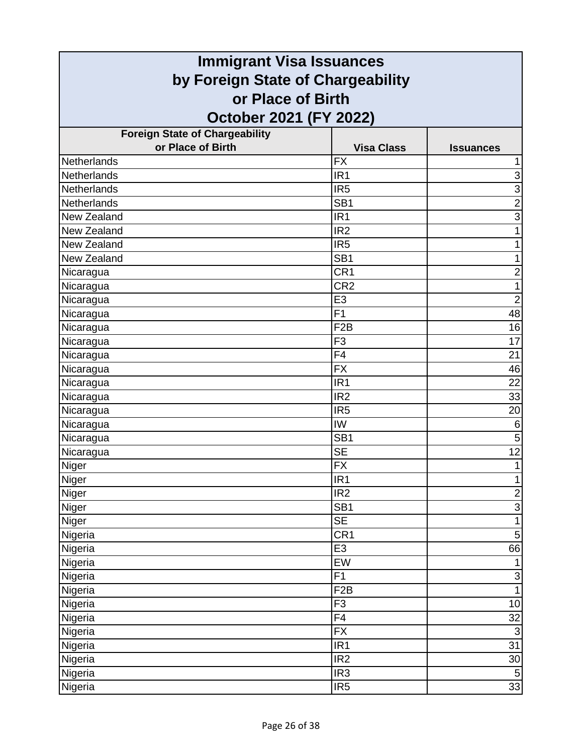| <b>Immigrant Visa Issuances</b>                        |                   |                  |
|--------------------------------------------------------|-------------------|------------------|
| by Foreign State of Chargeability<br>or Place of Birth |                   |                  |
|                                                        |                   |                  |
| <b>Foreign State of Chargeability</b>                  |                   |                  |
| or Place of Birth                                      | <b>Visa Class</b> | <b>Issuances</b> |
| <b>Netherlands</b>                                     | <b>FX</b>         |                  |
| Netherlands                                            | IR <sub>1</sub>   | 3                |
| <b>Netherlands</b>                                     | IR <sub>5</sub>   | $\overline{3}$   |
| Netherlands                                            | SB <sub>1</sub>   | $\overline{2}$   |
| New Zealand                                            | IR <sub>1</sub>   | $\overline{3}$   |
| New Zealand                                            | IR <sub>2</sub>   | 1                |
| New Zealand                                            | IR <sub>5</sub>   |                  |
| New Zealand                                            | SB <sub>1</sub>   |                  |
| Nicaragua                                              | CR <sub>1</sub>   | $\overline{2}$   |
| Nicaragua                                              | CR2               | 1                |
| Nicaragua                                              | E <sub>3</sub>    | $\overline{2}$   |
| Nicaragua                                              | F1                | 48               |
| Nicaragua                                              | F <sub>2</sub> B  | 16               |
| Nicaragua                                              | F <sub>3</sub>    | 17               |
| Nicaragua                                              | F4                | 21               |
| Nicaragua                                              | <b>FX</b>         | 46               |
| Nicaragua                                              | IR <sub>1</sub>   | 22               |
| Nicaragua                                              | IR <sub>2</sub>   | 33               |
| Nicaragua                                              | IR <sub>5</sub>   | 20               |
| Nicaragua                                              | IW                | 6                |
| Nicaragua                                              | $\overline{SB1}$  | 5                |
| Nicaragua                                              | <b>SE</b>         | $\overline{12}$  |
| Niger                                                  | <b>FX</b>         | $\mathbf{1}$     |
| Niger                                                  | IR1               |                  |
| Niger                                                  | IR <sub>2</sub>   | $\overline{2}$   |
| Niger                                                  | SB <sub>1</sub>   | $\overline{3}$   |
| Niger                                                  | <b>SE</b>         | $\overline{1}$   |
| Nigeria                                                | CR <sub>1</sub>   | 5                |
| Nigeria                                                | E <sub>3</sub>    | 66               |
| Nigeria                                                | EW                | 1                |
| Nigeria                                                | F1                | $\frac{3}{1}$    |
| Nigeria                                                | F <sub>2</sub> B  |                  |
| Nigeria                                                | F <sub>3</sub>    | 10               |
| Nigeria                                                | F4                | 32               |
| Nigeria                                                | $\overline{FX}$   | $\overline{3}$   |
| Nigeria                                                | IR <sub>1</sub>   | 31               |
| Nigeria                                                | IR <sub>2</sub>   | 30               |
| Nigeria                                                | IR <sub>3</sub>   | $\sqrt{5}$       |
| Nigeria                                                | IR <sub>5</sub>   | 33               |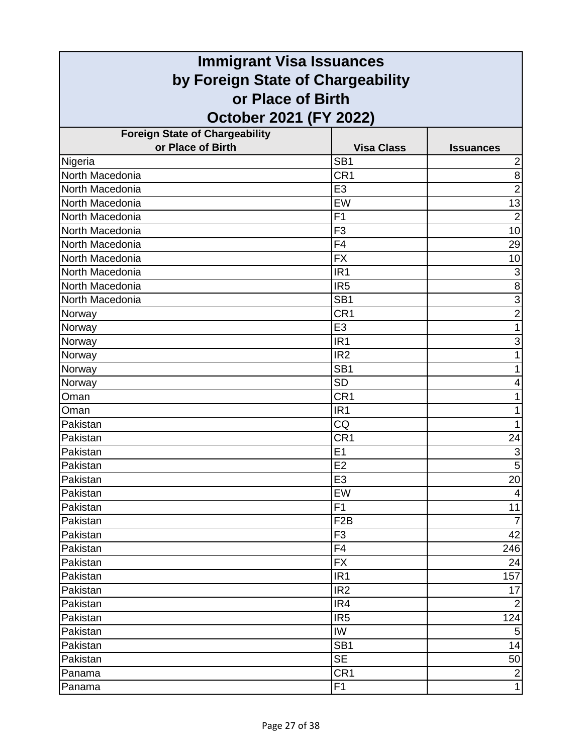| <b>Immigrant Visa Issuances</b>                                                  |                  |                           |                                       |                   |                  |
|----------------------------------------------------------------------------------|------------------|---------------------------|---------------------------------------|-------------------|------------------|
| by Foreign State of Chargeability<br>or Place of Birth<br>October 2021 (FY 2022) |                  |                           |                                       |                   |                  |
|                                                                                  |                  |                           | <b>Foreign State of Chargeability</b> |                   |                  |
|                                                                                  |                  |                           | or Place of Birth                     | <b>Visa Class</b> | <b>Issuances</b> |
| Nigeria                                                                          | SB <sub>1</sub>  | $\overline{2}$            |                                       |                   |                  |
| North Macedonia                                                                  | CR <sub>1</sub>  | 8                         |                                       |                   |                  |
| North Macedonia                                                                  | E <sub>3</sub>   | $\overline{2}$            |                                       |                   |                  |
| North Macedonia                                                                  | EW               | 13                        |                                       |                   |                  |
| North Macedonia                                                                  | F <sub>1</sub>   | $\overline{2}$            |                                       |                   |                  |
| North Macedonia                                                                  | F <sub>3</sub>   | 10                        |                                       |                   |                  |
| North Macedonia                                                                  | F <sub>4</sub>   | 29                        |                                       |                   |                  |
| North Macedonia                                                                  | <b>FX</b>        | 10                        |                                       |                   |                  |
| North Macedonia                                                                  | IR <sub>1</sub>  | 3                         |                                       |                   |                  |
| North Macedonia                                                                  | IR <sub>5</sub>  | $\overline{8}$            |                                       |                   |                  |
| North Macedonia                                                                  | SB <sub>1</sub>  | 3                         |                                       |                   |                  |
| Norway                                                                           | CR <sub>1</sub>  | $\overline{2}$            |                                       |                   |                  |
| Norway                                                                           | E <sub>3</sub>   | 1                         |                                       |                   |                  |
| Norway                                                                           | IR <sub>1</sub>  | $\ensuremath{\mathsf{3}}$ |                                       |                   |                  |
| Norway                                                                           | IR <sub>2</sub>  |                           |                                       |                   |                  |
| Norway                                                                           | SB <sub>1</sub>  |                           |                                       |                   |                  |
| Norway                                                                           | $\overline{SD}$  | 4                         |                                       |                   |                  |
| Oman                                                                             | CR <sub>1</sub>  |                           |                                       |                   |                  |
| Oman                                                                             | IR <sub>1</sub>  |                           |                                       |                   |                  |
| Pakistan                                                                         | CQ               | 1                         |                                       |                   |                  |
| Pakistan                                                                         | CR <sub>1</sub>  | 24                        |                                       |                   |                  |
| Pakistan                                                                         | E <sub>1</sub>   | $\ensuremath{\mathsf{3}}$ |                                       |                   |                  |
| Pakistan                                                                         | E2               | $\overline{5}$            |                                       |                   |                  |
| Pakistan                                                                         | E3               | 20                        |                                       |                   |                  |
| Pakistan                                                                         | EW               | 4                         |                                       |                   |                  |
| Pakistan                                                                         | F1               | 11                        |                                       |                   |                  |
| Pakistan                                                                         | F <sub>2</sub> B | $\overline{7}$            |                                       |                   |                  |
| Pakistan                                                                         | F <sub>3</sub>   | 42                        |                                       |                   |                  |
| Pakistan                                                                         | F <sub>4</sub>   | 246                       |                                       |                   |                  |
| Pakistan                                                                         | <b>FX</b>        | 24                        |                                       |                   |                  |
| Pakistan                                                                         | IR <sub>1</sub>  | 157                       |                                       |                   |                  |
| Pakistan                                                                         | IR <sub>2</sub>  | 17                        |                                       |                   |                  |
| Pakistan                                                                         | IR4              | $\overline{2}$            |                                       |                   |                  |
| Pakistan                                                                         | IR <sub>5</sub>  | 124                       |                                       |                   |                  |
| Pakistan                                                                         | IW               | $\sqrt{5}$                |                                       |                   |                  |
| Pakistan                                                                         | SB <sub>1</sub>  | 14                        |                                       |                   |                  |
| Pakistan                                                                         | <b>SE</b>        | 50                        |                                       |                   |                  |
| Panama                                                                           | CR <sub>1</sub>  | $\overline{2}$            |                                       |                   |                  |
| Panama                                                                           | F <sub>1</sub>   | $\mathbf{1}$              |                                       |                   |                  |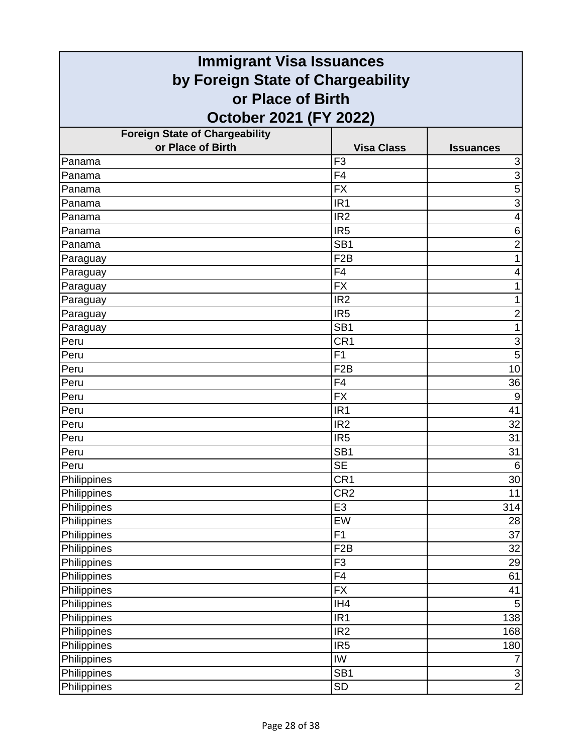| <b>Immigrant Visa Issuances</b>       |                   |                           |
|---------------------------------------|-------------------|---------------------------|
| by Foreign State of Chargeability     |                   |                           |
| or Place of Birth                     |                   |                           |
| October 2021 (FY 2022)                |                   |                           |
| <b>Foreign State of Chargeability</b> |                   |                           |
| or Place of Birth                     | <b>Visa Class</b> | <b>Issuances</b>          |
| Panama                                | F <sub>3</sub>    | $\ensuremath{\mathsf{3}}$ |
| Panama                                | F <sub>4</sub>    | $\overline{3}$            |
| Panama                                | <b>FX</b>         | 5                         |
| Panama                                | IR <sub>1</sub>   | 3                         |
| Panama                                | IR <sub>2</sub>   | 4                         |
| Panama                                | IR <sub>5</sub>   | 6                         |
| Panama                                | SB <sub>1</sub>   | $\overline{2}$            |
| Paraguay                              | F <sub>2</sub> B  |                           |
| Paraguay                              | F4                | 4                         |
| Paraguay                              | <b>FX</b>         | 1                         |
| Paraguay                              | IR <sub>2</sub>   | 1                         |
| Paraguay                              | IR <sub>5</sub>   | $\overline{c}$            |
| Paraguay                              | SB <sub>1</sub>   | 1                         |
| Peru                                  | CR <sub>1</sub>   | $\ensuremath{\mathsf{3}}$ |
| Peru                                  | F <sub>1</sub>    | 5                         |
| Peru                                  | F <sub>2</sub> B  | 10                        |
| Peru                                  | F4                | 36                        |
| Peru                                  | <b>FX</b>         | 9                         |
| Peru                                  | IR <sub>1</sub>   | 41                        |
| Peru                                  | IR <sub>2</sub>   | 32                        |
| Peru                                  | IR <sub>5</sub>   | 31                        |
| Peru                                  | SB <sub>1</sub>   | 31                        |
| Peru                                  | <b>SE</b>         | $\,6\,$                   |
| Philippines                           | CR1               | 30                        |
| Philippines                           | CR <sub>2</sub>   | 11                        |
| Philippines                           | E <sub>3</sub>    | 314                       |
| Philippines                           | EW                | 28                        |
| Philippines                           | F1                | 37                        |
| Philippines                           | F <sub>2</sub> B  | 32                        |
| Philippines                           | F <sub>3</sub>    | 29                        |
| Philippines                           | F4                | 61                        |
| Philippines                           | <b>FX</b>         | 41                        |
| Philippines                           | IH <sub>4</sub>   | 5                         |
| Philippines                           | IR <sub>1</sub>   | 138                       |
| Philippines                           | IR <sub>2</sub>   | 168                       |
| Philippines                           | IR <sub>5</sub>   | 180                       |
| Philippines                           | IW                | $\overline{7}$            |
| Philippines                           | SB <sub>1</sub>   | $\overline{3}$            |
| Philippines                           | <b>SD</b>         | $\overline{2}$            |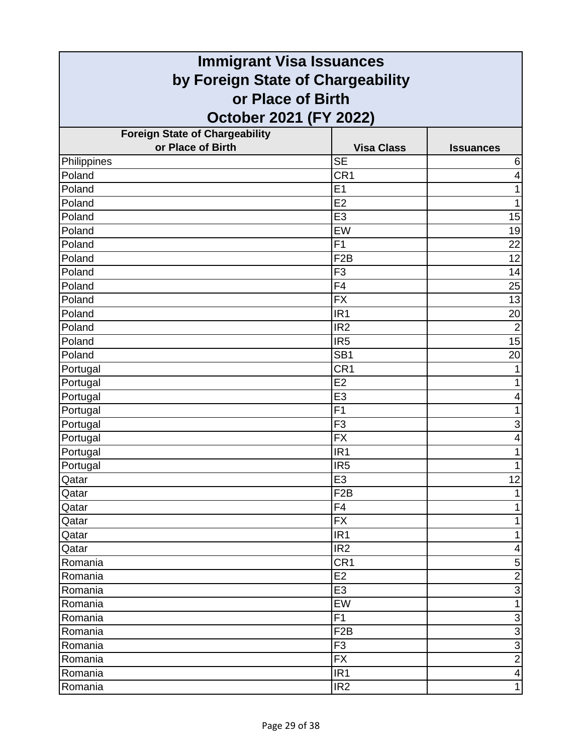| <b>Immigrant Visa Issuances</b>       |                   |                           |
|---------------------------------------|-------------------|---------------------------|
| by Foreign State of Chargeability     |                   |                           |
| or Place of Birth                     |                   |                           |
| October 2021 (FY 2022)                |                   |                           |
| <b>Foreign State of Chargeability</b> |                   |                           |
| or Place of Birth                     | <b>Visa Class</b> | <b>Issuances</b>          |
| Philippines                           | <b>SE</b>         | 6                         |
| Poland                                | CR <sub>1</sub>   | 4                         |
| Poland                                | E1                | 1                         |
| Poland                                | E2                | 1                         |
| Poland                                | E <sub>3</sub>    | 15                        |
| Poland                                | EW                | 19                        |
| Poland                                | F <sub>1</sub>    | 22                        |
| Poland                                | F <sub>2</sub> B  | 12                        |
| Poland                                | F <sub>3</sub>    | 14                        |
| Poland                                | $\overline{F4}$   | 25                        |
| Poland                                | <b>FX</b>         | 13                        |
| Poland                                | IR <sub>1</sub>   | 20                        |
| Poland                                | IR <sub>2</sub>   | $\overline{2}$            |
| Poland                                | IR <sub>5</sub>   | 15                        |
| Poland                                | SB <sub>1</sub>   | 20                        |
| Portugal                              | CR1               |                           |
| Portugal                              | E2                | 1                         |
| Portugal                              | E <sub>3</sub>    | 4                         |
| Portugal                              | F <sub>1</sub>    | 1                         |
| Portugal                              | F <sub>3</sub>    | $\ensuremath{\mathsf{3}}$ |
| Portugal                              | <b>FX</b>         | 4                         |
| Portugal                              | IR <sub>1</sub>   | 1                         |
| Portugal                              | IR <sub>5</sub>   | 1                         |
| Qatar                                 | E3                | 12                        |
| Qatar                                 | F <sub>2</sub> B  | 1                         |
| Qatar                                 | F <sub>4</sub>    | 1                         |
| Qatar                                 | <b>FX</b>         | 1                         |
| Qatar                                 | IR <sub>1</sub>   | 1                         |
| Qatar                                 | IR <sub>2</sub>   | 4                         |
| Romania                               | CR <sub>1</sub>   | $\mathbf 5$               |
| Romania                               | E <sub>2</sub>    | $\overline{2}$            |
| Romania                               | E <sub>3</sub>    | $\overline{3}$            |
| Romania                               | EW                | 1                         |
| Romania                               | F1                | $\ensuremath{\mathsf{3}}$ |
| Romania                               | F <sub>2</sub> B  | $\overline{3}$            |
| Romania                               | F <sub>3</sub>    | $\overline{3}$            |
| Romania                               | <b>FX</b>         | $\overline{2}$            |
| Romania                               | IR <sub>1</sub>   | 4                         |
| Romania                               | IR <sub>2</sub>   | $\mathbf{1}$              |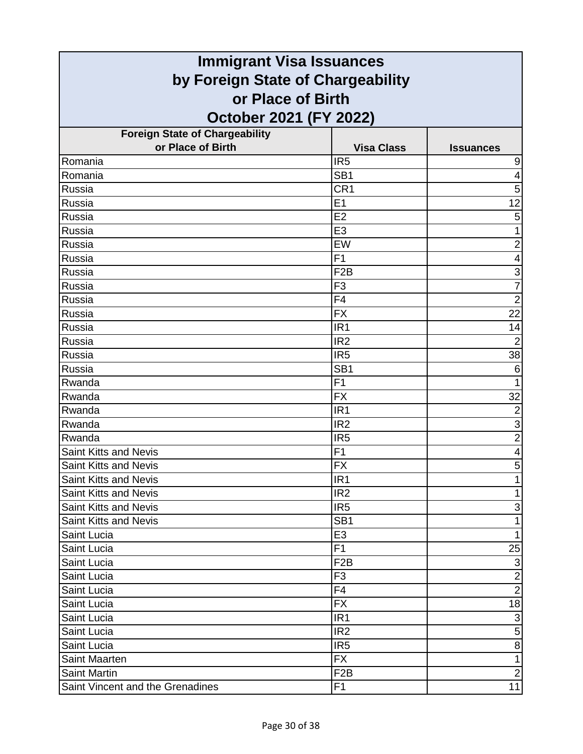| <b>Immigrant Visa Issuances</b>       |                   |                           |
|---------------------------------------|-------------------|---------------------------|
| by Foreign State of Chargeability     |                   |                           |
| or Place of Birth                     |                   |                           |
| October 2021 (FY 2022)                |                   |                           |
| <b>Foreign State of Chargeability</b> |                   |                           |
| or Place of Birth                     | <b>Visa Class</b> | <b>Issuances</b>          |
| Romania                               | IR <sub>5</sub>   | 9                         |
| Romania                               | SB <sub>1</sub>   | $\overline{4}$            |
| Russia                                | CR <sub>1</sub>   | 5                         |
| Russia                                | E1                | 12                        |
| Russia                                | E2                | 5                         |
| Russia                                | E <sub>3</sub>    | 1                         |
| Russia                                | EW                | $\overline{2}$            |
| Russia                                | F <sub>1</sub>    | 4                         |
| Russia                                | F <sub>2</sub> B  | 3                         |
| <b>Russia</b>                         | F <sub>3</sub>    | $\overline{7}$            |
| Russia                                | F <sub>4</sub>    | $\overline{2}$            |
| Russia                                | <b>FX</b>         | 22                        |
| Russia                                | IR <sub>1</sub>   | 14                        |
| Russia                                | IR <sub>2</sub>   | $\overline{2}$            |
| Russia                                | IR <sub>5</sub>   | 38                        |
| Russia                                | SB <sub>1</sub>   | $6\phantom{1}6$           |
| Rwanda                                | F <sub>1</sub>    | 1                         |
| Rwanda                                | <b>FX</b>         | 32                        |
| Rwanda                                | IR <sub>1</sub>   | $\overline{2}$            |
| Rwanda                                | IR <sub>2</sub>   | 3                         |
| Rwanda                                | IR <sub>5</sub>   | $\overline{2}$            |
| <b>Saint Kitts and Nevis</b>          | F <sub>1</sub>    | $\overline{4}$            |
| <b>Saint Kitts and Nevis</b>          | <b>FX</b>         | 5                         |
| Saint Kitts and Nevis                 | IR1               |                           |
| <b>Saint Kitts and Nevis</b>          | IR <sub>2</sub>   | 1                         |
| <b>Saint Kitts and Nevis</b>          | IR <sub>5</sub>   | 3                         |
| Saint Kitts and Nevis                 | SB <sub>1</sub>   | 1                         |
| Saint Lucia                           | E <sub>3</sub>    | $\mathbf{1}$              |
| Saint Lucia                           | F1                | 25                        |
| Saint Lucia                           | F <sub>2</sub> B  | $\ensuremath{\mathsf{3}}$ |
| Saint Lucia                           | F <sub>3</sub>    | $\overline{2}$            |
| Saint Lucia                           | F <sub>4</sub>    | $\overline{2}$            |
| Saint Lucia                           | <b>FX</b>         | 18                        |
| Saint Lucia                           | IR <sub>1</sub>   | $\ensuremath{\mathsf{3}}$ |
| Saint Lucia                           | IR <sub>2</sub>   | $\overline{5}$            |
| Saint Lucia                           | IR <sub>5</sub>   | $\bf 8$                   |
| Saint Maarten                         | FX.               | $\mathbf{1}$              |
| <b>Saint Martin</b>                   | F <sub>2</sub> B  | $\overline{2}$            |
| Saint Vincent and the Grenadines      | F <sub>1</sub>    | 11                        |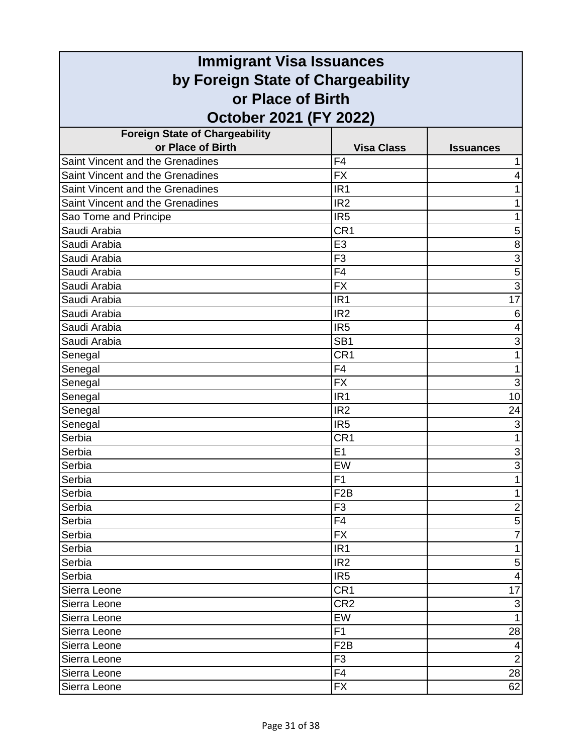| <b>Immigrant Visa Issuances</b>                        |                   |                           |
|--------------------------------------------------------|-------------------|---------------------------|
| by Foreign State of Chargeability<br>or Place of Birth |                   |                           |
|                                                        |                   |                           |
| <b>Foreign State of Chargeability</b>                  |                   |                           |
| or Place of Birth                                      | <b>Visa Class</b> | <b>Issuances</b>          |
| Saint Vincent and the Grenadines                       | F <sub>4</sub>    |                           |
| Saint Vincent and the Grenadines                       | <b>FX</b>         | 4                         |
| Saint Vincent and the Grenadines                       | IR <sub>1</sub>   |                           |
| Saint Vincent and the Grenadines                       | IR <sub>2</sub>   |                           |
| Sao Tome and Principe                                  | IR <sub>5</sub>   | 1                         |
| Saudi Arabia                                           | CR <sub>1</sub>   | 5                         |
| Saudi Arabia                                           | E <sub>3</sub>    | 8                         |
| Saudi Arabia                                           | F <sub>3</sub>    | 3                         |
| Saudi Arabia                                           | F4                | 5                         |
| Saudi Arabia                                           | <b>FX</b>         | $\overline{3}$            |
| Saudi Arabia                                           | IR <sub>1</sub>   | $\overline{17}$           |
| Saudi Arabia                                           | IR <sub>2</sub>   | 6                         |
| Saudi Arabia                                           | IR <sub>5</sub>   | 4                         |
| Saudi Arabia                                           | SB <sub>1</sub>   | 3                         |
| Senegal                                                | CR <sub>1</sub>   | 1                         |
| Senegal                                                | F4                | 1                         |
| Senegal                                                | $\overline{FX}$   | $\overline{3}$            |
| Senegal                                                | IR <sub>1</sub>   | 10                        |
| Senegal                                                | IR <sub>2</sub>   | 24                        |
| Senegal                                                | IR <sub>5</sub>   | 3                         |
| Serbia                                                 | CR <sub>1</sub>   |                           |
| Serbia                                                 | E1                | 3                         |
| Serbia                                                 | EW                | $\overline{3}$            |
| Serbia                                                 | F1                |                           |
| Serbia                                                 | F <sub>2</sub> B  | 1                         |
| Serbia                                                 | F <sub>3</sub>    | $\overline{2}$            |
| Serbia                                                 | F <sub>4</sub>    | $\mathbf 5$               |
| Serbia                                                 | <b>FX</b>         | $\overline{7}$            |
| Serbia                                                 | IR <sub>1</sub>   | 1                         |
| Serbia                                                 | IR <sub>2</sub>   | 5                         |
| Serbia                                                 | IR <sub>5</sub>   | 4                         |
| Sierra Leone                                           | CR <sub>1</sub>   | 17                        |
| Sierra Leone                                           | CR <sub>2</sub>   | $\ensuremath{\mathsf{3}}$ |
| Sierra Leone                                           | EW                | 1                         |
| Sierra Leone                                           | F <sub>1</sub>    | 28                        |
| Sierra Leone                                           | F <sub>2</sub> B  | 4                         |
| Sierra Leone                                           | F <sub>3</sub>    | $\overline{2}$            |
| Sierra Leone                                           | F4                | 28                        |
| Sierra Leone                                           | <b>FX</b>         | 62                        |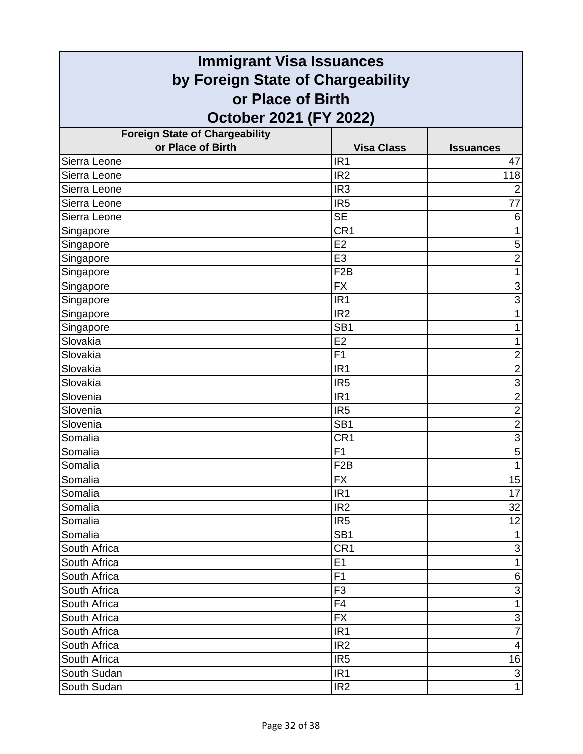| <b>Immigrant Visa Issuances</b>       |                   |                         |
|---------------------------------------|-------------------|-------------------------|
| by Foreign State of Chargeability     |                   |                         |
| or Place of Birth                     |                   |                         |
| October 2021 (FY 2022)                |                   |                         |
| <b>Foreign State of Chargeability</b> |                   |                         |
| or Place of Birth                     | <b>Visa Class</b> | <b>Issuances</b>        |
| Sierra Leone                          | IR <sub>1</sub>   | 47                      |
| Sierra Leone                          | IR <sub>2</sub>   | 118                     |
| Sierra Leone                          | IR <sub>3</sub>   | $\overline{2}$          |
| Sierra Leone                          | IR <sub>5</sub>   | 77                      |
| Sierra Leone                          | <b>SE</b>         | 6                       |
| Singapore                             | CR <sub>1</sub>   | 1                       |
| Singapore                             | E2                | 5                       |
| Singapore                             | E <sub>3</sub>    | $\overline{2}$          |
| Singapore                             | F <sub>2</sub> B  | 1                       |
| Singapore                             | <b>FX</b>         | 3                       |
| Singapore                             | IR <sub>1</sub>   | $\overline{3}$          |
| Singapore                             | IR <sub>2</sub>   | 1                       |
| Singapore                             | SB <sub>1</sub>   | 1                       |
| Slovakia                              | E2                | 1                       |
| Slovakia                              | F <sub>1</sub>    | $\mathbf 2$             |
| Slovakia                              | IR <sub>1</sub>   | $\overline{2}$          |
| Slovakia                              | IR <sub>5</sub>   | $\overline{3}$          |
| Slovenia                              | IR <sub>1</sub>   | $\overline{2}$          |
| Slovenia                              | IR <sub>5</sub>   | $\frac{2}{2}$           |
| Slovenia                              | SB <sub>1</sub>   |                         |
| Somalia                               | CR <sub>1</sub>   | $\overline{3}$          |
| Somalia                               | F1                | $\overline{5}$          |
| Somalia                               | F <sub>2</sub> B  | $\mathbf{1}$            |
| Somalia                               | $\overline{FX}$   | 15                      |
| Somalia                               | IR <sub>1</sub>   | 17                      |
| Somalia                               | IR <sub>2</sub>   | 32                      |
| Somalia                               | IR <sub>5</sub>   | 12                      |
| Somalia                               | SB <sub>1</sub>   | $\mathbf{1}$            |
| South Africa                          | CR <sub>1</sub>   | $\mathbf{3}$            |
| South Africa                          | E1                | $\mathbf{1}$            |
| South Africa                          | F1                | $\,$ 6 $\,$             |
| South Africa                          | F <sub>3</sub>    | $\overline{3}$          |
| South Africa                          | F <sub>4</sub>    | $\mathbf{1}$            |
| South Africa                          | <b>FX</b>         | $\overline{3}$          |
| South Africa                          | IR <sub>1</sub>   | $\overline{7}$          |
| South Africa                          | IR <sub>2</sub>   | $\overline{\mathbf{4}}$ |
| South Africa                          | IR <sub>5</sub>   | 16                      |
| South Sudan                           | IR <sub>1</sub>   | $\mathsf 3$             |
| South Sudan                           | IR <sub>2</sub>   | $\overline{1}$          |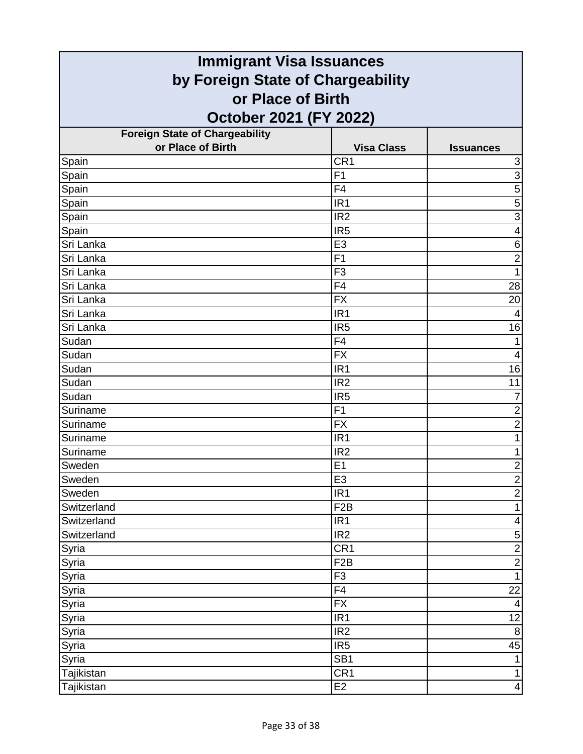| <b>Immigrant Visa Issuances</b>                        |                   |                           |
|--------------------------------------------------------|-------------------|---------------------------|
| by Foreign State of Chargeability<br>or Place of Birth |                   |                           |
|                                                        |                   |                           |
| <b>Foreign State of Chargeability</b>                  |                   |                           |
| or Place of Birth                                      | <b>Visa Class</b> | <b>Issuances</b>          |
| Spain                                                  | CR <sub>1</sub>   | $\ensuremath{\mathsf{3}}$ |
| Spain                                                  | F1                | $\overline{3}$            |
| Spain                                                  | F4                | 5                         |
| Spain                                                  | IR <sub>1</sub>   | 5                         |
| Spain                                                  | IR <sub>2</sub>   | $\overline{3}$            |
| Spain                                                  | IR <sub>5</sub>   | $\overline{\mathbf{4}}$   |
| Sri Lanka                                              | E <sub>3</sub>    | 6                         |
| Sri Lanka                                              | F <sub>1</sub>    | $\overline{2}$            |
| Sri Lanka                                              | F <sub>3</sub>    | 1                         |
| Sri Lanka                                              | $\overline{F4}$   | 28                        |
| Sri Lanka                                              | <b>FX</b>         | 20                        |
| Sri Lanka                                              | IR <sub>1</sub>   |                           |
| Sri Lanka                                              | IR <sub>5</sub>   | 16                        |
| Sudan                                                  | F4                |                           |
| Sudan                                                  | <b>FX</b>         | 4                         |
| Sudan                                                  | IR <sub>1</sub>   | 16                        |
| Sudan                                                  | IR <sub>2</sub>   | 11                        |
| Sudan                                                  | IR <sub>5</sub>   | $\overline{7}$            |
| Suriname                                               | F1                | $\overline{2}$            |
| Suriname                                               | <b>FX</b>         | $\overline{2}$            |
| Suriname                                               | IR <sub>1</sub>   | 1                         |
| Suriname                                               | IR <sub>2</sub>   | 1                         |
| Sweden                                                 | E1                | $\overline{\mathbf{c}}$   |
| Sweden                                                 | E3                | $\frac{2}{2}$             |
| Sweden                                                 | IR <sub>1</sub>   |                           |
| Switzerland                                            | F <sub>2</sub> B  | $\mathbf{1}$              |
| Switzerland                                            | IR <sub>1</sub>   | 4                         |
| Switzerland                                            | IR <sub>2</sub>   | $\mathbf 5$               |
| Syria                                                  | CR <sub>1</sub>   | $\overline{2}$            |
| Syria                                                  | F <sub>2</sub> B  | $\overline{2}$            |
| Syria                                                  | F <sub>3</sub>    | $\mathbf{1}$              |
| Syria                                                  | F4                | 22                        |
| Syria                                                  | <b>FX</b>         | $\overline{4}$            |
| Syria                                                  | IR <sub>1</sub>   | 12                        |
| Syria                                                  | IR2               | $\, 8$                    |
| Syria                                                  | IR <sub>5</sub>   | 45                        |
| Syria                                                  | SB <sub>1</sub>   | $\mathbf{1}$              |
| Tajikistan                                             | CR <sub>1</sub>   | $\mathbf{1}$              |
| Tajikistan                                             | E <sub>2</sub>    | 4                         |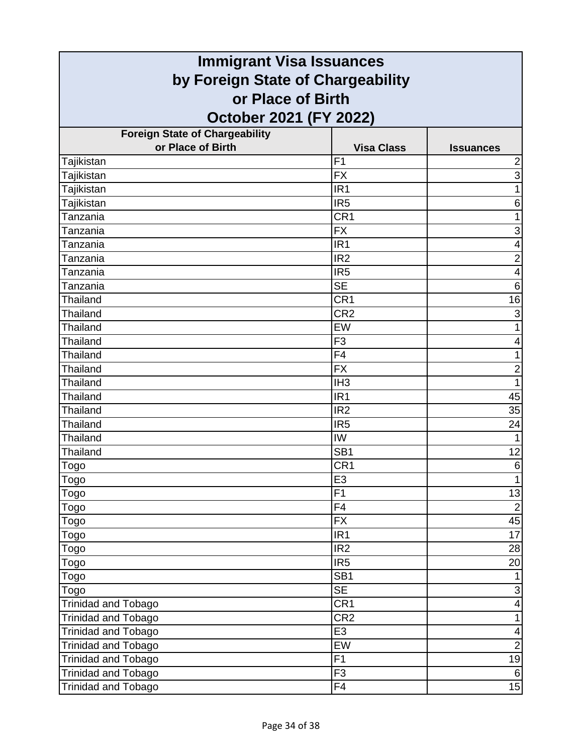| <b>Immigrant Visa Issuances</b>                        |                   |                           |
|--------------------------------------------------------|-------------------|---------------------------|
| by Foreign State of Chargeability<br>or Place of Birth |                   |                           |
|                                                        |                   |                           |
| <b>Foreign State of Chargeability</b>                  |                   |                           |
| or Place of Birth                                      | <b>Visa Class</b> | <b>Issuances</b>          |
| Tajikistan                                             | F <sub>1</sub>    | $\overline{\mathbf{c}}$   |
| Tajikistan                                             | <b>FX</b>         | $\overline{3}$            |
| Tajikistan                                             | IR <sub>1</sub>   | 1                         |
| Tajikistan                                             | IR <sub>5</sub>   | 6                         |
| Tanzania                                               | CR1               | 1                         |
| Tanzania                                               | <b>FX</b>         | $\mathsf 3$               |
| Tanzania                                               | IR <sub>1</sub>   | 4                         |
| Tanzania                                               | IR <sub>2</sub>   | $\overline{2}$            |
| Tanzania                                               | IR <sub>5</sub>   | $\overline{4}$            |
| Tanzania                                               | <b>SE</b>         | $\,6$                     |
| <b>Thailand</b>                                        | CR1               | 16                        |
| <b>Thailand</b>                                        | CR <sub>2</sub>   | $\ensuremath{\mathsf{3}}$ |
| Thailand                                               | EW                | 1                         |
| <b>Thailand</b>                                        | F <sub>3</sub>    | 4                         |
| <b>Thailand</b>                                        | F4                | 1                         |
| <b>Thailand</b>                                        | <b>FX</b>         | $\overline{2}$            |
| <b>Thailand</b>                                        | IH <sub>3</sub>   | 1                         |
| Thailand                                               | IR <sub>1</sub>   | 45                        |
| <b>Thailand</b>                                        | IR <sub>2</sub>   | 35                        |
| Thailand                                               | IR <sub>5</sub>   | 24                        |
| Thailand                                               | IW                | $\mathbf{1}$              |
| Thailand                                               | SB <sub>1</sub>   | 12                        |
| <u>Togo</u>                                            | CR <sub>1</sub>   | $\,6$                     |
| Togo                                                   | E3                |                           |
| Togo                                                   | $\overline{F1}$   | 13                        |
| Togo                                                   | F <sub>4</sub>    | $\overline{2}$            |
| Togo                                                   | <b>FX</b>         | 45                        |
| Togo                                                   | IR1               | $\overline{17}$           |
| Togo                                                   | IR <sub>2</sub>   | 28                        |
| Togo                                                   | IR <sub>5</sub>   | 20                        |
| Togo                                                   | SB <sub>1</sub>   |                           |
| Togo                                                   | SE                | $\overline{3}$            |
| Trinidad and Tobago                                    | CR <sub>1</sub>   | $\overline{\mathbf{4}}$   |
| Trinidad and Tobago                                    | CR <sub>2</sub>   | $\mathbf{1}$              |
| Trinidad and Tobago                                    | E3                | $\overline{\mathbf{4}}$   |
| Trinidad and Tobago                                    | EW                | $\overline{2}$            |
| Trinidad and Tobago                                    | F1                | 19                        |
| <b>Trinidad and Tobago</b>                             | F3                | $\,6$                     |
| Trinidad and Tobago                                    | F4                | 15                        |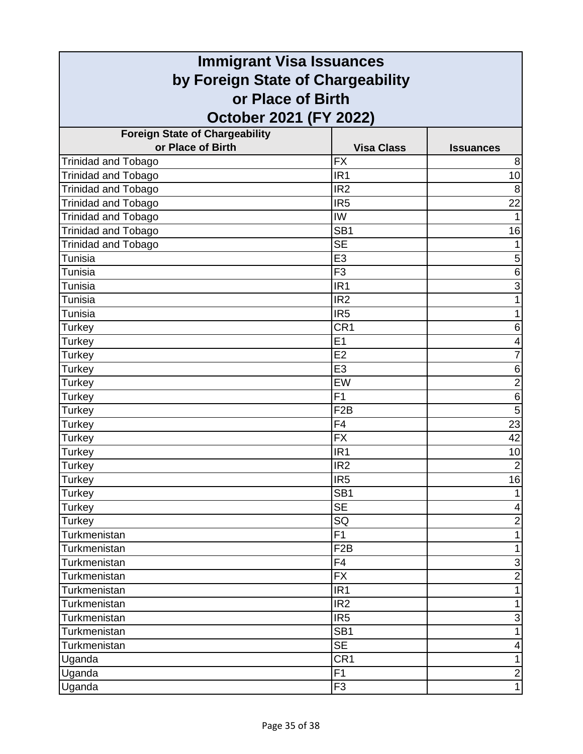| <b>Immigrant Visa Issuances</b>       |                          |                           |
|---------------------------------------|--------------------------|---------------------------|
| by Foreign State of Chargeability     |                          |                           |
| or Place of Birth                     |                          |                           |
| October 2021 (FY 2022)                |                          |                           |
| <b>Foreign State of Chargeability</b> |                          |                           |
| or Place of Birth                     | <b>Visa Class</b>        | <b>Issuances</b>          |
| <b>Trinidad and Tobago</b>            | <b>FX</b>                | 8                         |
| Trinidad and Tobago                   | IR <sub>1</sub>          | 10                        |
| <b>Trinidad and Tobago</b>            | IR <sub>2</sub>          | 8                         |
| <b>Trinidad and Tobago</b>            | IR <sub>5</sub>          | 22                        |
| <b>Trinidad and Tobago</b>            | IW                       |                           |
| Trinidad and Tobago                   | SB <sub>1</sub>          | 16                        |
| <b>Trinidad and Tobago</b>            | <b>SE</b>                |                           |
| Tunisia                               | E <sub>3</sub>           | 5                         |
| Tunisia                               | F <sub>3</sub>           | 6                         |
| Tunisia                               | IR <sub>1</sub>          | 3                         |
| Tunisia                               | IR <sub>2</sub>          | 1                         |
| Tunisia                               | IR <sub>5</sub>          | 1                         |
| Turkey                                | CR <sub>1</sub>          | 6                         |
| Turkey                                | E1                       | 4                         |
| Turkey                                | E <sub>2</sub>           | 7                         |
| Turkey                                | E <sub>3</sub>           | 6                         |
| Turkey                                | EW                       | $\overline{2}$            |
| Turkey                                | F <sub>1</sub>           | $\,6$                     |
| Turkey                                | F <sub>2</sub> B         | $\overline{5}$            |
| Turkey                                | F <sub>4</sub>           | 23                        |
| Turkey                                | <b>FX</b>                | $\overline{42}$           |
| <b>Turkey</b>                         | IR <sub>1</sub>          | 10                        |
| <b>Turkey</b>                         | IR <sub>2</sub>          | $\overline{2}$            |
| Turkey                                | IR <sub>5</sub>          | 16                        |
| Turkey                                | SB <sub>1</sub>          |                           |
| <b>Turkey</b>                         | <b>SE</b>                | 4                         |
| Turkey                                | SQ                       | $\overline{c}$            |
| Turkmenistan                          | $\overline{F1}$          | 1                         |
| Turkmenistan                          | F <sub>2</sub> B         | $\mathbf{1}$              |
| Turkmenistan                          | F4                       | $\ensuremath{\mathsf{3}}$ |
| Turkmenistan                          | <b>FX</b>                | $\overline{2}$            |
| Turkmenistan                          | IR <sub>1</sub>          | $\mathbf{1}$              |
| Turkmenistan                          | IR <sub>2</sub>          | 1                         |
| Turkmenistan                          | IR <sub>5</sub>          | $\mathbf{3}$              |
| Turkmenistan                          | SB <sub>1</sub>          | 1                         |
| Turkmenistan                          | $\overline{\mathsf{SE}}$ | 4                         |
| Uganda                                | CR <sub>1</sub>          | $\mathbf{1}$              |
| Uganda                                | F1                       | $\overline{c}$            |
| Uganda                                | F <sub>3</sub>           | $\mathbf{1}$              |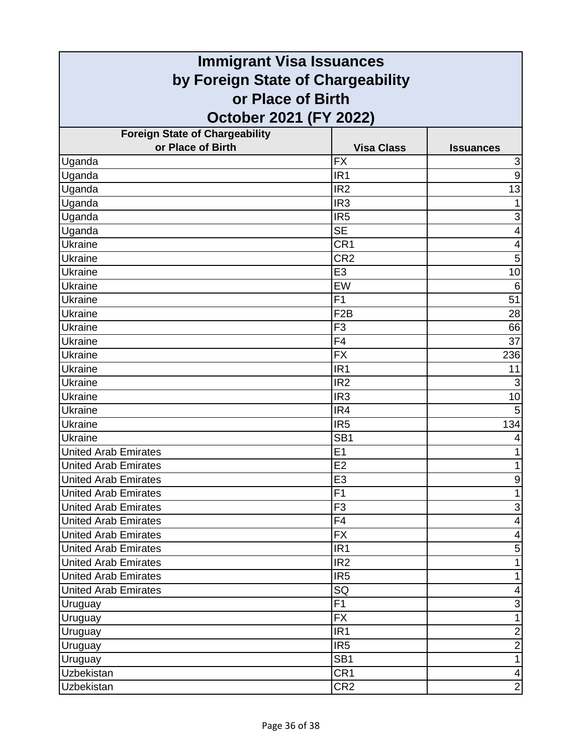| <b>Immigrant Visa Issuances</b>       |                   |                           |
|---------------------------------------|-------------------|---------------------------|
| by Foreign State of Chargeability     |                   |                           |
| or Place of Birth                     |                   |                           |
| October 2021 (FY 2022)                |                   |                           |
| <b>Foreign State of Chargeability</b> |                   |                           |
| or Place of Birth                     | <b>Visa Class</b> | <b>Issuances</b>          |
| Uganda                                | <b>FX</b>         | $\ensuremath{\mathsf{3}}$ |
| Uganda                                | IR <sub>1</sub>   | 9                         |
| Uganda                                | IR <sub>2</sub>   | 13                        |
| Uganda                                | IR <sub>3</sub>   |                           |
| Uganda                                | IR <sub>5</sub>   | $\ensuremath{\mathsf{3}}$ |
| Uganda                                | <b>SE</b>         | 4                         |
| <b>Ukraine</b>                        | CR1               | 4                         |
| Ukraine                               | CR <sub>2</sub>   | 5                         |
| <b>Ukraine</b>                        | E <sub>3</sub>    | 10                        |
| Ukraine                               | EW                | 6                         |
| Ukraine                               | F <sub>1</sub>    | 51                        |
| Ukraine                               | F <sub>2</sub> B  | 28                        |
| Ukraine                               | F <sub>3</sub>    | 66                        |
| Ukraine                               | F <sub>4</sub>    | 37                        |
| Ukraine                               | <b>FX</b>         | 236                       |
| <b>Ukraine</b>                        | IR <sub>1</sub>   | 11                        |
| Ukraine                               | IR <sub>2</sub>   | 3                         |
| Ukraine                               | IR <sub>3</sub>   | 10                        |
| Ukraine                               | IR4               | 5                         |
| Ukraine                               | IR <sub>5</sub>   | 134                       |
| Ukraine                               | SB <sub>1</sub>   | 4                         |
| <b>United Arab Emirates</b>           | E1                |                           |
| <b>United Arab Emirates</b>           | E <sub>2</sub>    | 1                         |
| <b>United Arab Emirates</b>           | E3                | 9                         |
| <b>United Arab Emirates</b>           | F1                | $\mathbf{1}$              |
| <b>United Arab Emirates</b>           | F <sub>3</sub>    | $\ensuremath{\mathsf{3}}$ |
| <b>United Arab Emirates</b>           | F4                | $\overline{\mathbf{4}}$   |
| <b>United Arab Emirates</b>           | <b>FX</b>         | $\overline{\mathbf{4}}$   |
| <b>United Arab Emirates</b>           | IR <sub>1</sub>   | 5                         |
| <b>United Arab Emirates</b>           | IR <sub>2</sub>   | 1                         |
| <b>United Arab Emirates</b>           | IR <sub>5</sub>   | 1                         |
| <b>United Arab Emirates</b>           | SQ                | 4                         |
| Uruguay                               | F1                | $\ensuremath{\mathsf{3}}$ |
| Uruguay                               | <b>FX</b>         | 1                         |
| Uruguay                               | IR <sub>1</sub>   | $\overline{2}$            |
| Uruguay                               | IR <sub>5</sub>   | $\mathbf 2$               |
| Uruguay                               | SB <sub>1</sub>   | $\mathbf{1}$              |
| <b>Uzbekistan</b>                     | CR <sub>1</sub>   | $\overline{\mathbf{4}}$   |
| Uzbekistan                            | CR <sub>2</sub>   | $\overline{2}$            |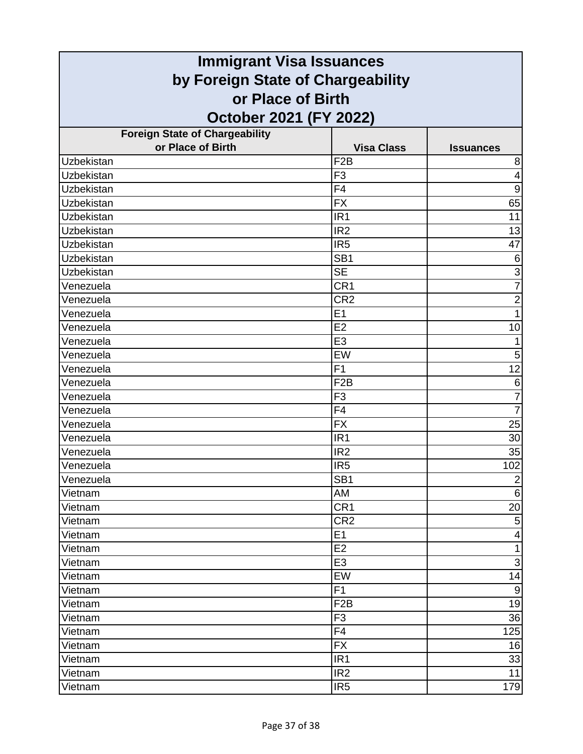| <b>Immigrant Visa Issuances</b>                        |                   |                         |  |
|--------------------------------------------------------|-------------------|-------------------------|--|
| by Foreign State of Chargeability<br>or Place of Birth |                   |                         |  |
|                                                        |                   |                         |  |
| <b>Foreign State of Chargeability</b>                  |                   |                         |  |
| or Place of Birth                                      | <b>Visa Class</b> | <b>Issuances</b>        |  |
| Uzbekistan                                             | F <sub>2</sub> B  | 8                       |  |
| Uzbekistan                                             | F <sub>3</sub>    | $\overline{4}$          |  |
| Uzbekistan                                             | F4                | $9\,$                   |  |
| <b>Uzbekistan</b>                                      | <b>FX</b>         | 65                      |  |
| Uzbekistan                                             | IR <sub>1</sub>   | 11                      |  |
| Uzbekistan                                             | IR <sub>2</sub>   | 13                      |  |
| <b>Uzbekistan</b>                                      | IR <sub>5</sub>   | 47                      |  |
| Uzbekistan                                             | SB <sub>1</sub>   | 6                       |  |
| Uzbekistan                                             | <b>SE</b>         | 3                       |  |
| Venezuela                                              | CR <sub>1</sub>   | $\overline{7}$          |  |
| Venezuela                                              | CR <sub>2</sub>   | $\overline{2}$          |  |
| Venezuela                                              | E1                | 1                       |  |
| Venezuela                                              | E2                | 10                      |  |
| Venezuela                                              | E <sub>3</sub>    |                         |  |
| Venezuela                                              | EW                | 5                       |  |
| Venezuela                                              | F1                | 12                      |  |
| Venezuela                                              | F <sub>2</sub> B  | 6                       |  |
| Venezuela                                              | F <sub>3</sub>    | $\overline{7}$          |  |
| Venezuela                                              | F <sub>4</sub>    | $\overline{7}$          |  |
| Venezuela                                              | <b>FX</b>         | 25                      |  |
| Venezuela                                              | IR <sub>1</sub>   | 30                      |  |
| Venezuela                                              | IR <sub>2</sub>   | 35                      |  |
| Venezuela                                              | IR <sub>5</sub>   | 102                     |  |
| Venezuela                                              | SB <sub>1</sub>   | $\overline{c}$          |  |
| Vietnam                                                | AM                | $\,6$                   |  |
| Vietnam                                                | CR <sub>1</sub>   | 20                      |  |
| Vietnam                                                | CR <sub>2</sub>   | $\mathbf 5$             |  |
| Vietnam                                                | E1                | $\overline{\mathbf{4}}$ |  |
| Vietnam                                                | E <sub>2</sub>    | $\mathbf{1}$            |  |
| Vietnam                                                | E <sub>3</sub>    | $\mathsf 3$             |  |
| Vietnam                                                | EW                | 14                      |  |
| Vietnam                                                | F <sub>1</sub>    | $\boldsymbol{9}$        |  |
| Vietnam                                                | F <sub>2</sub> B  | 19                      |  |
| Vietnam                                                | F <sub>3</sub>    | 36                      |  |
| Vietnam                                                | F <sub>4</sub>    | 125                     |  |
| Vietnam                                                | <b>FX</b>         | 16                      |  |
| Vietnam                                                | IR <sub>1</sub>   | 33                      |  |
| Vietnam                                                | IR <sub>2</sub>   | 11                      |  |
| Vietnam                                                | IR <sub>5</sub>   | 179                     |  |